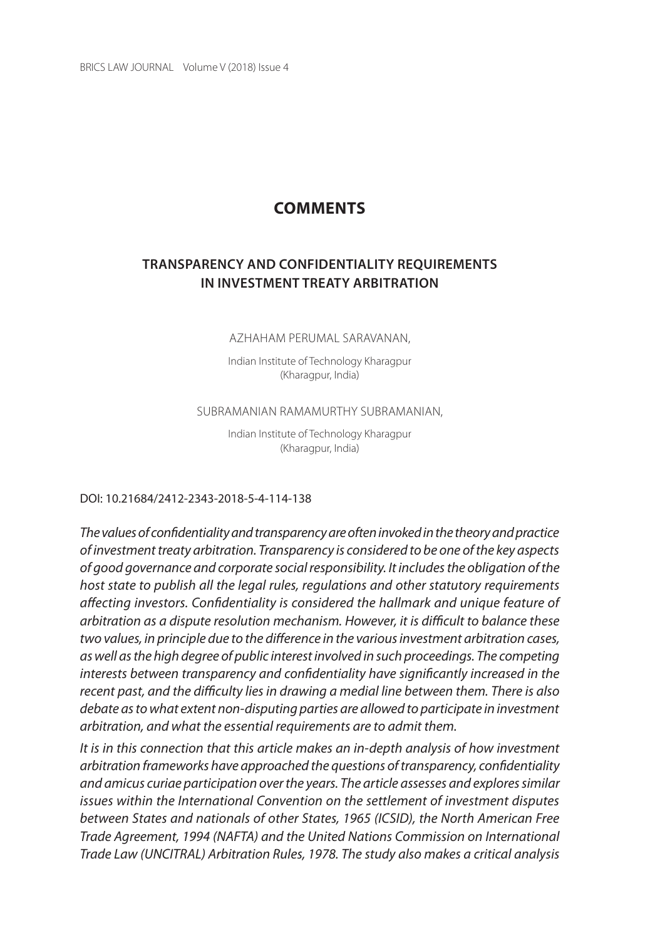BRICS LAW JOURNAL Volume V (2018) Issue 4

# **COMMENTS**

## **TRanSPaREnCY anD ConFIDEnTIaLITY REQuIREMEnTS In InVESTMEnT TREaTY aRBITRaTIon**

#### AZHAHAM PERUMAL SARAVANAN,

Indian Institute of Technology Kharagpur (Kharagpur, India)

#### SUBRAMANIAN RAMAMURTHY SUBRAMANIAN,

Indian Institute of Technology Kharagpur (Kharagpur, India)

#### Doi: 10.21684/2412-2343-2018-5-4-114-138

The values of confidentiality and transparency are often invoked in the theory and practice of investment treaty arbitration. Transparency is considered to be one of the key aspects of good governance and corporate social responsibility. It includes the obligation of the host state to publish all the legal rules, regulations and other statutory requirements affecting investors. Confidentiality is considered the hallmark and unique feature of arbitration as a dispute resolution mechanism. However, it is difficult to balance these two values, in principle due to the difference in the various investment arbitration cases, as well as the high degree of public interest involved in such proceedings. The competing interests between transparency and confidentiality have significantly increased in the recent past, and the difficulty lies in drawing a medial line between them. There is also debate as to what extent non-disputing parties are allowed to participate in investment arbitration, and what the essential requirements are to admit them.

It is in this connection that this article makes an in-depth analysis of how investment arbitration frameworks have approached the questions of transparency, confidentiality and amicus curiae participation over the years. The article assesses and explores similar issues within the International Convention on the settlement of investment disputes between States and nationals of other States, 1965 (ICSID), the North American Free Trade Agreement, 1994 (NAFTA) and the United Nations Commission on International Trade Law (UNCITRAL) Arbitration Rules, 1978. The study also makes a critical analysis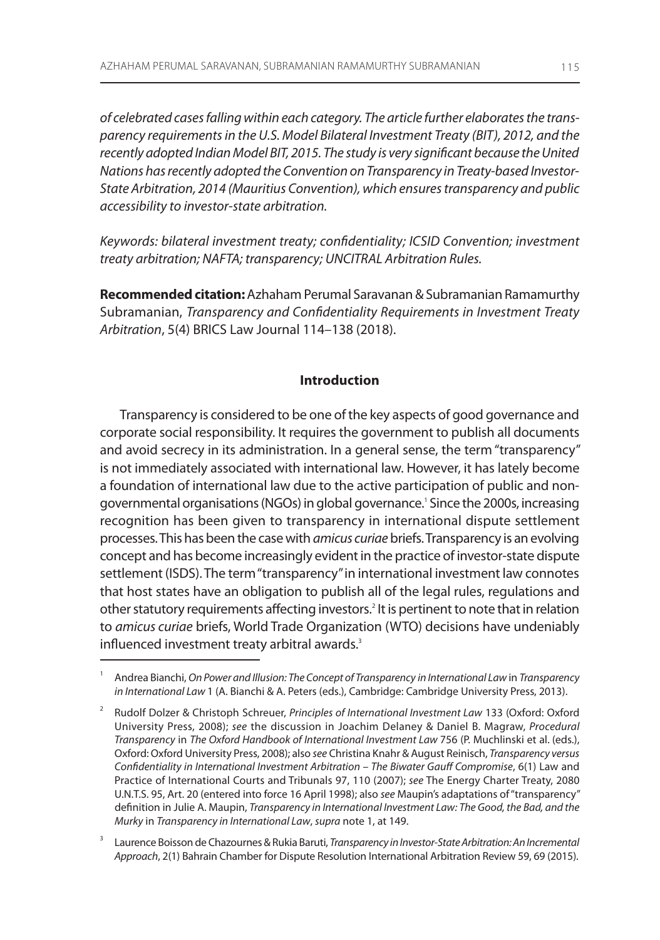of celebrated cases falling within each category. The article further elaborates the transparency requirements in the U.S. Model Bilateral Investment Treaty (BIT), 2012, and the recently adopted Indian Model BIT, 2015. The study is very significant because the United Nations has recently adopted the Convention on Transparency in Treaty-based Investor-State Arbitration, 2014 (Mauritius Convention), which ensures transparency and public accessibility to investor-state arbitration.

Keywords: bilateral investment treaty; confidentiality; ICSID Convention; investment treaty arbitration; NAFTA; transparency; UNCITRAL Arbitration Rules.

**Recommended citation:** Azhaham Perumal Saravanan & Subramanian Ramamurthy subramanian, Transparency and Confidentiality Requirements in Investment Treaty Arbitration, 5(4) BRICS Law Journal 114-138 (2018).

## **Introduction**

Transparency is considered to be one of the key aspects of good governance and corporate social responsibility. it requires the government to publish all documents and avoid secrecy in its administration. in a general sense, the term "transparency" is not immediately associated with international law. however, it has lately become a foundation of international law due to the active participation of public and nongovernmental organisations (NGOs) in global governance.' Since the 2000s, increasing recognition has been given to transparency in international dispute settlement processes. This has been the case with amicus curiae briefs. Transparency is an evolving concept and has become increasingly evident in the practice of investor-state dispute settlement (ISDS). The term "transparency" in international investment law connotes that host states have an obligation to publish all of the legal rules, regulations and other statutory requirements affecting investors.<sup>2</sup> It is pertinent to note that in relation to amicus curiae briefs, World Trade Organization (WTO) decisions have undeniably influenced investment treaty arbitral awards.<sup>3</sup>

<sup>1</sup> andrea Bianchi, On Power and Illusion: The Concept of Transparency in International Law in Transparency in International Law 1 (A. Bianchi & A. Peters (eds.), Cambridge: Cambridge University Press, 2013).

<sup>2</sup> Rudolf Dolzer & Christoph Schreuer, Principles of International Investment Law 133 (Oxford: Oxford University Press, 2008); see the discussion in Joachim Delaney & Daniel B. Magraw, Procedural Transparency in The Oxford Handbook of International Investment Law 756 (P. muchlinski et al. (eds.), Oxford: Oxford University Press, 2008); also see Christina Knahr & August Reinisch, Transparency versus Confidentiality in International Investment Arbitration – The Biwater Gauff Compromise, 6(1) law and Practice of International Courts and Tribunals 97, 110 (2007); see The Energy Charter Treaty, 2080 u.n.T.s. 95, art. 20 (entered into force 16 april 1998); also see maupin's adaptations of "transparency" definition in Julie A. Maupin, Transparency in International Investment Law: The Good, the Bad, and the Murky in Transparency in International Law, supra note 1, at 149.

<sup>3</sup> Laurence Boisson de Chazournes & Rukia Baruti, Transparency in Investor-State Arbitration: An Incremental Approach, 2(1) Bahrain Chamber for Dispute Resolution International Arbitration Review 59, 69 (2015).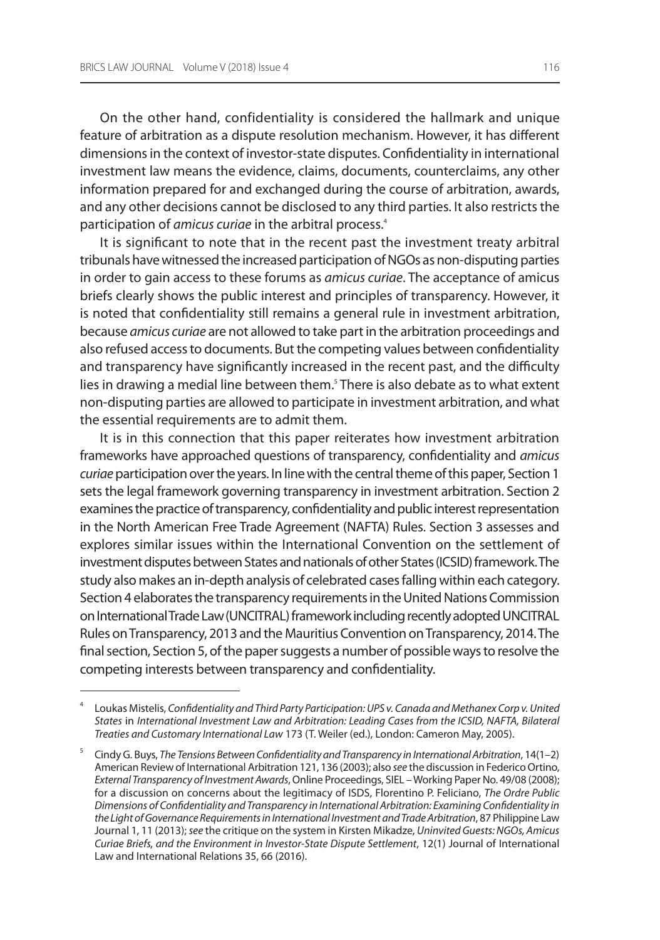on the other hand, confidentiality is considered the hallmark and unique feature of arbitration as a dispute resolution mechanism. however, it has different dimensions in the context of investor-state disputes. Confidentiality in international investment law means the evidence, claims, documents, counterclaims, any other information prepared for and exchanged during the course of arbitration, awards, and any other decisions cannot be disclosed to any third parties. it also restricts the participation of amicus curiae in the arbitral process.<sup>4</sup>

It is significant to note that in the recent past the investment treaty arbitral tribunals have witnessed the increased participation of NGOs as non-disputing parties in order to gain access to these forums as *amicus curiae*. The acceptance of amicus briefs clearly shows the public interest and principles of transparency. however, it is noted that confidentiality still remains a general rule in investment arbitration, because amicus curiae are not allowed to take part in the arbitration proceedings and also refused access to documents. But the competing values between confidentiality and transparency have significantly increased in the recent past, and the difficulty lies in drawing a medial line between them.<sup>s</sup> There is also debate as to what extent non-disputing parties are allowed to participate in investment arbitration, and what the essential requirements are to admit them.

It is in this connection that this paper reiterates how investment arbitration frameworks have approached questions of transparency, confidentiality and amicus curiae participation over the years. In line with the central theme of this paper, Section 1 sets the legal framework governing transparency in investment arbitration. section 2 examines the practice of transparency, confidentiality and public interest representation in the North American Free Trade Agreement (NAFTA) Rules. Section 3 assesses and explores similar issues within the international Convention on the settlement of investment disputes between states and nationals of other states (iCsiD) framework. The study also makes an in-depth analysis of celebrated cases falling within each category. Section 4 elaborates the transparency requirements in the United Nations Commission on International Trade Law (UNCITRAL) framework including recently adopted UNCITRAL Rules on Transparency, 2013 and the Mauritius Convention on Transparency, 2014. The final section, section 5, of the paper suggests a number of possible ways to resolve the competing interests between transparency and confidentiality.

<sup>4</sup> loukas mistelis, Confidentiality and Third Party Participation: UPS v. Canada and Methanex Corp v. United States in International Investment Law and Arbitration: Leading Cases from the ICSID, NAFTA, Bilateral Treaties and Customary International Law 173 (T. Weiler (ed.), london: Cameron may, 2005).

<sup>5</sup> Cindy g. Buys, The Tensions Between Confidentiality and Transparency in International Arbitration, 14(1–2) American Review of International Arbitration 121, 136 (2003); also see the discussion in Federico Ortino, External Transparency of Investment Awards, Online Proceedings, SIEL – Working Paper No. 49/08 (2008); for a discussion on concerns about the legitimacy of ISDS, Florentino P. Feliciano, The Ordre Public Dimensions of Confidentiality and Transparency in International Arbitration: Examining Confidentiality in the Light of Governance Requirements in International Investment and Trade Arbitration, 87 Philippine law Journal 1, 11 (2013); see the critique on the system in Kirsten Mikadze, Uninvited Guests: NGOs, Amicus Curiae Briefs, and the Environment in Investor-State Dispute Settlement, 12(1) Journal of international Law and International Relations 35, 66 (2016).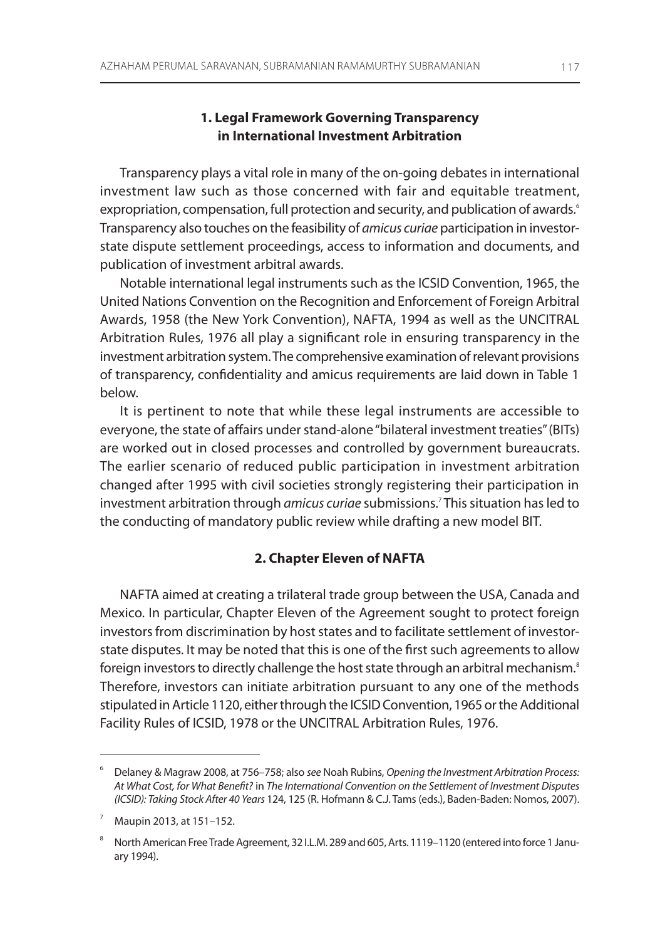## **1. Legal Framework Governing Transparency in International Investment Arbitration**

Transparency plays a vital role in many of the on-going debates in international investment law such as those concerned with fair and equitable treatment, expropriation, compensation, full protection and security, and publication of awards.<sup>6</sup> Transparency also touches on the feasibility of amicus curiae participation in investorstate dispute settlement proceedings, access to information and documents, and publication of investment arbitral awards.

notable international legal instruments such as the iCsiD Convention, 1965, the United Nations Convention on the Recognition and Enforcement of Foreign Arbitral Awards, 1958 (the New York Convention), NAFTA, 1994 as well as the UNCITRAL Arbitration Rules, 1976 all play a significant role in ensuring transparency in the investment arbitration system. The comprehensive examination of relevant provisions of transparency, confidentiality and amicus requirements are laid down in Table 1 below.

It is pertinent to note that while these legal instruments are accessible to everyone, the state of affairs under stand-alone "bilateral investment treaties" (BiTs) are worked out in closed processes and controlled by government bureaucrats. The earlier scenario of reduced public participation in investment arbitration changed after 1995 with civil societies strongly registering their participation in investment arbitration through *amicus curiae* submissions.<sup>7</sup> This situation has led to the conducting of mandatory public review while drafting a new model BiT.

## **2. Chapter Eleven of NAFTA**

NAFTA aimed at creating a trilateral trade group between the USA, Canada and mexico. in particular, Chapter eleven of the agreement sought to protect foreign investors from discrimination by host states and to facilitate settlement of investorstate disputes. it may be noted that this is one of the first such agreements to allow foreign investors to directly challenge the host state through an arbitral mechanism.<sup>8</sup> Therefore, investors can initiate arbitration pursuant to any one of the methods stipulated in Article 1120, either through the ICSID Convention, 1965 or the Additional Facility Rules of ICSID, 1978 or the UNCITRAL Arbitration Rules, 1976.

<sup>&</sup>lt;sup>6</sup> Delaney & Magraw 2008, at 756–758; also see Noah Rubins, Opening the Investment Arbitration Process: At What Cost, for What Benefit? in The International Convention on the Settlement of Investment Disputes (ICSID): Taking Stock After 40 Years 124, 125 (R. Hofmann & C.J. Tams (eds.), Baden-Baden: Nomos, 2007).

<sup>7</sup> maupin 2013, at 151–152.

<sup>8</sup> north american Free Trade agreement, 32 i.l.m. 289 and 605, arts. 1119–1120 (entered into force 1 January 1994).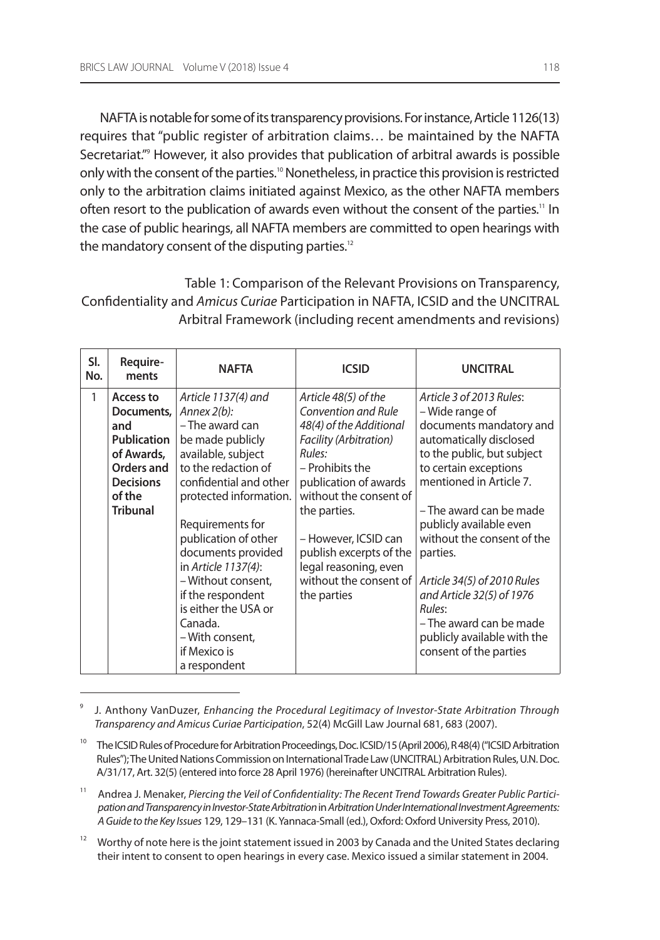naFTa is notable for some of its transparency provisions. For instance, article 1126(13) requires that "public register of arbitration claims... be maintained by the NAFTA secretariat."<sup>9</sup> however, it also provides that publication of arbitral awards is possible only with the consent of the parties.<sup>10</sup> Nonetheless, in practice this provision is restricted only to the arbitration claims initiated against mexico, as the other naFTa members often resort to the publication of awards even without the consent of the parties.<sup>11</sup> In the case of public hearings, all NAFTA members are committed to open hearings with the mandatory consent of the disputing parties.<sup>12</sup>

Table 1: Comparison of the Relevant Provisions on Transparency, Confidentiality and Amicus Curiae Participation in NAFTA, ICSID and the UNCITRAL arbitral Framework (including recent amendments and revisions)

| SI.<br>No. | Require-<br>ments                                                                                                          | <b>NAFTA</b>                                                                                                                                                                                                                                                                                                                                                                                            | <b>ICSID</b>                                                                                                                                                                                                                                                                                                          | <b>UNCITRAL</b>                                                                                                                                                                                                                                                                                                                                                                                                                               |
|------------|----------------------------------------------------------------------------------------------------------------------------|---------------------------------------------------------------------------------------------------------------------------------------------------------------------------------------------------------------------------------------------------------------------------------------------------------------------------------------------------------------------------------------------------------|-----------------------------------------------------------------------------------------------------------------------------------------------------------------------------------------------------------------------------------------------------------------------------------------------------------------------|-----------------------------------------------------------------------------------------------------------------------------------------------------------------------------------------------------------------------------------------------------------------------------------------------------------------------------------------------------------------------------------------------------------------------------------------------|
| 1          | Access to<br>Documents,<br>and<br>Publication<br>of Awards,<br>Orders and<br><b>Decisions</b><br>of the<br><b>Tribunal</b> | Article 1137(4) and<br>Annex $2(b)$ :<br>- The award can<br>be made publicly<br>available, subject<br>to the redaction of<br>confidential and other<br>protected information.<br>Requirements for<br>publication of other<br>documents provided<br>in Article 1137(4):<br>- Without consent,<br>if the respondent<br>is either the USA or<br>Canada.<br>- With consent,<br>if Mexico is<br>a respondent | Article 48(5) of the<br>Convention and Rule<br>48(4) of the Additional<br>Facility (Arbitration)<br>Rules:<br>- Prohibits the<br>publication of awards<br>without the consent of<br>the parties.<br>- However, ICSID can<br>publish excerpts of the<br>legal reasoning, even<br>without the consent of<br>the parties | Article 3 of 2013 Rules:<br>– Wide range of<br>documents mandatory and<br>automatically disclosed<br>to the public, but subject<br>to certain exceptions<br>mentioned in Article 7.<br>- The award can be made<br>publicly available even<br>without the consent of the<br>parties.<br>Article 34(5) of 2010 Rules<br>and Article 32(5) of 1976<br>Rules:<br>- The award can be made<br>publicly available with the<br>consent of the parties |

<sup>9</sup> J. anthony vanDuzer, Enhancing the Procedural Legitimacy of Investor-State Arbitration Through Transparency and Amicus Curiae Participation, 52(4) mcgill law Journal 681, 683 (2007).

Worthy of note here is the joint statement issued in 2003 by Canada and the United States declaring their intent to consent to open hearings in every case. mexico issued a similar statement in 2004.

<sup>&</sup>lt;sup>10</sup> The ICSID Rules of Procedure for Arbitration Proceedings, Doc. ICSID/15 (April 2006), R48(4) ("ICSID Arbitration Rules"); The United Nations Commission on International Trade Law (UNCITRAL) Arbitration Rules, U.N. Doc. A/31/17, Art. 32(5) (entered into force 28 April 1976) (hereinafter UNCITRAL Arbitration Rules).

<sup>&</sup>lt;sup>11</sup> Andrea J. Menaker, Piercing the Veil of Confidentiality: The Recent Trend Towards Greater Public Participation and Transparency in Investor-State Arbitration in Arbitration Under International Investment Agreements: A Guide to the Key Issues 129, 129-131 (K. Yannaca-Small (ed.), Oxford: Oxford University Press, 2010).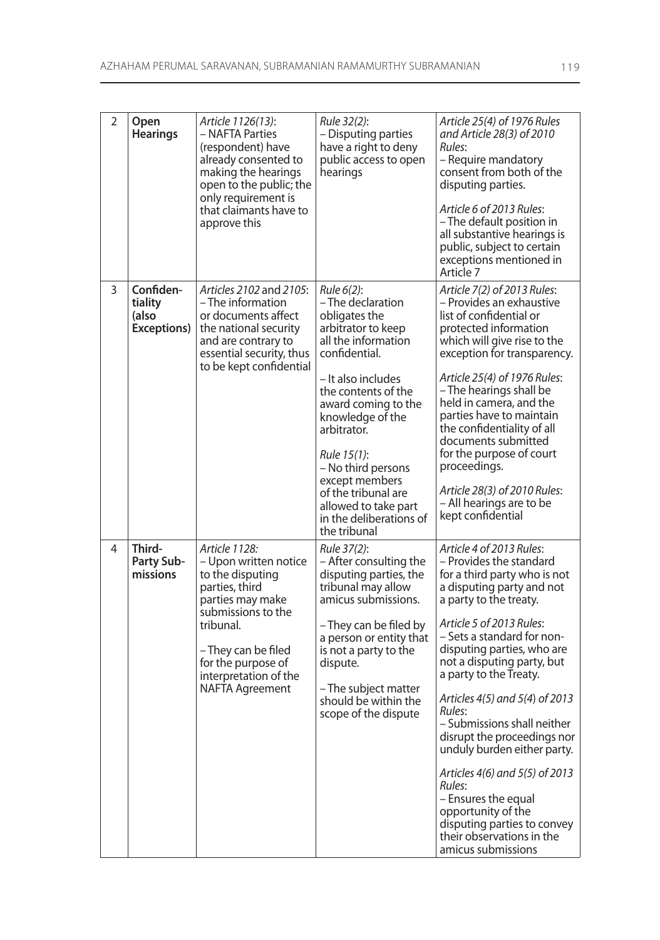| 2 | Open<br><b>Hearings</b>                      | Article 1126(13):<br>- NAFTA Parties<br>(respondent) have<br>already consented to<br>making the hearings<br>open to the public; the<br>only requirement is<br>that claimants have to<br>approve this                                | Rule 32(2):<br>- Disputing parties<br>have a right to deny<br>public access to open<br>hearings                                                                                                                                                                                                                                                                        | Article 25(4) of 1976 Rules<br>and Article 28(3) of 2010<br>Rules:<br>- Require mandatory<br>consent from both of the<br>disputing parties.<br>Article 6 of 2013 Rules:<br>- The default position in<br>all substantive hearings is<br>public, subject to certain<br>exceptions mentioned in<br>Article 7                                                                                                                                                                                                                                                                                                      |
|---|----------------------------------------------|-------------------------------------------------------------------------------------------------------------------------------------------------------------------------------------------------------------------------------------|------------------------------------------------------------------------------------------------------------------------------------------------------------------------------------------------------------------------------------------------------------------------------------------------------------------------------------------------------------------------|----------------------------------------------------------------------------------------------------------------------------------------------------------------------------------------------------------------------------------------------------------------------------------------------------------------------------------------------------------------------------------------------------------------------------------------------------------------------------------------------------------------------------------------------------------------------------------------------------------------|
| 3 | Confiden-<br>tiality<br>(also<br>Exceptions) | Articles 2102 and 2105:<br>- The information<br>or documents affect<br>the national security<br>and are contrary to<br>essential security, thus<br>to be kept confidential                                                          | Rule 6(2):<br>- The declaration<br>obligates the<br>arbitrator to keep<br>all the information<br>confidential.<br>- It also includes<br>the contents of the<br>award coming to the<br>knowledge of the<br>arbitrator.<br>Rule 15(1):<br>- No third persons<br>except members<br>of the tribunal are<br>allowed to take part<br>in the deliberations of<br>the tribunal | Article 7(2) of 2013 Rules:<br>- Provides an exhaustive<br>list of confidential or<br>protected information<br>which will give rise to the<br>exception for transparency.<br>Article 25(4) of 1976 Rules:<br>- The hearings shall be<br>held in camera, and the<br>parties have to maintain<br>the confidentiality of all<br>documents submitted<br>for the purpose of court<br>proceedings.<br>Article 28(3) of 2010 Rules:<br>- All hearings are to be<br>kept confidential                                                                                                                                  |
| 4 | Third-<br>Party Sub-<br>missions             | Article 1128:<br>– Upon written notice<br>to the disputing<br>parties, third<br>parties may make<br>submissions to the<br>tribunal.<br>– They can be filed<br>for the purpose of<br>interpretation of the<br><b>NAFTA Agreement</b> | Rule 37(2):<br>- After consulting the<br>disputing parties, the<br>tribunal may allow<br>amicus submissions.<br>– They can be filed by<br>a person or entity that<br>is not a party to the<br>dispute.<br>- The subject matter<br>should be within the<br>scope of the dispute                                                                                         | Article 4 of 2013 Rules:<br>– Provides the standard<br>for a third party who is not<br>a disputing party and not<br>a party to the treaty.<br>Article 5 of 2013 Rules:<br>– Sets a standard for non-<br>disputing parties, who are<br>not a disputing party, but<br>a party to the Treaty.<br>Articles 4(5) and 5(4) of 2013<br>Rules:<br>- Submissions shall neither<br>disrupt the proceedings nor<br>unduly burden either party.<br>Articles 4(6) and 5(5) of 2013<br>Rules:<br>- Ensures the equal<br>opportunity of the<br>disputing parties to convey<br>their observations in the<br>amicus submissions |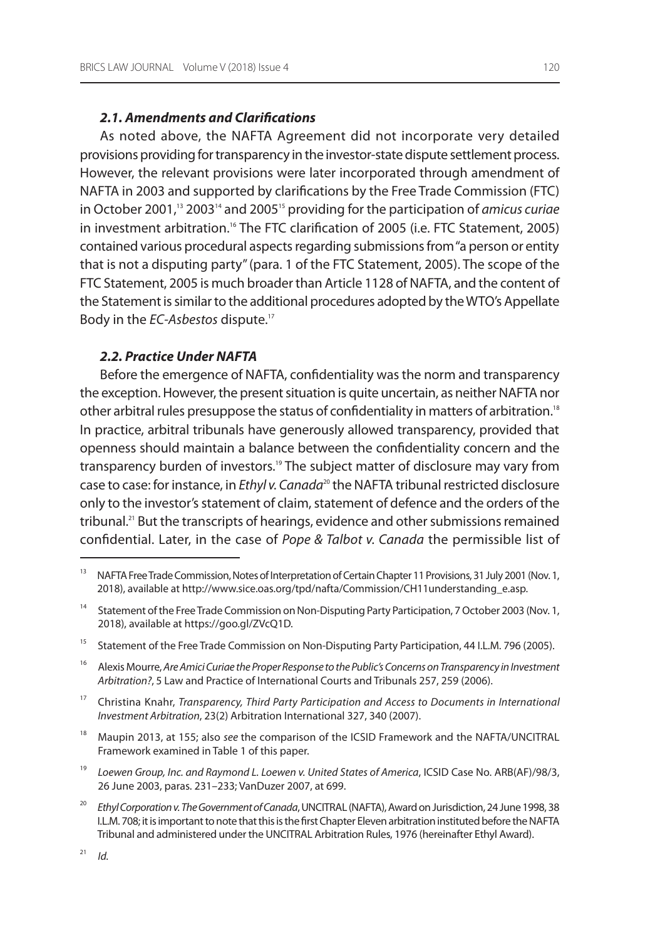## **2.1. Amendments and Clarifications**

As noted above, the NAFTA Agreement did not incorporate very detailed provisions providing for transparency in the investor-state dispute settlement process. however, the relevant provisions were later incorporated through amendment of naFTa in 2003 and supported by clarifications by the Free Trade Commission (FTC) in October 2001,<sup>13</sup> 2003<sup>14</sup> and 2005<sup>15</sup> providing for the participation of *amicus curiae* in investment arbitration.<sup>16</sup> The FTC clarification of 2005 (i.e. FTC Statement, 2005) contained various procedural aspects regarding submissions from "a person or entity that is not a disputing party" (para. 1 of the FTC statement, 2005). The scope of the FTC statement, 2005 is much broader than article 1128 of naFTa, and the content of the Statement is similar to the additional procedures adopted by the WTO's Appellate Body in the EC-Asbestos dispute.<sup>17</sup>

## **2.2. Practice Under NAFTA**

Before the emergence of NAFTA, confidentiality was the norm and transparency the exception. However, the present situation is quite uncertain, as neither NAFTA nor other arbitral rules presuppose the status of confidentiality in matters of arbitration.<sup>18</sup> in practice, arbitral tribunals have generously allowed transparency, provided that openness should maintain a balance between the confidentiality concern and the transparency burden of investors.<sup>19</sup> The subject matter of disclosure may vary from case to case: for instance, in Ethyl v. Canada<sup>20</sup> the NAFTA tribunal restricted disclosure only to the investor's statement of claim, statement of defence and the orders of the tribunal.<sup>21</sup> But the transcripts of hearings, evidence and other submissions remained confidential. Later, in the case of Pope & Talbot v. Canada the permissible list of

- <sup>15</sup> Statement of the Free Trade Commission on Non-Disputing Party Participation, 44 I.L.M. 796 (2005).
- <sup>16</sup> Alexis Mourre, Are Amici Curiae the Proper Response to the Public's Concerns on Transparency in Investment Arbitration?, 5 law and Practice of international Courts and Tribunals 257, 259 (2006).
- $17$  Christina Knahr, Transparency, Third Party Participation and Access to Documents in International Investment Arbitration, 23(2) arbitration international 327, 340 (2007).
- <sup>18</sup> Maupin 2013, at 155; also see the comparison of the ICSID Framework and the NAFTA/UNCITRAL Framework examined in Table 1 of this paper.
- <sup>19</sup> Loewen Group, Inc. and Raymond L. Loewen v. United States of America, ICSID Case No. ARB(AF)/98/3, 26 June 2003, paras. 231–233; vanDuzer 2007, at 699.
- <sup>20</sup> Ethyl Corporation v. The Government of Canada, UNCITRAL (NAFTA), Award on Jurisdiction, 24 June 1998, 38 i.l.m. 708; it is important to note that this is the first Chapter eleven arbitration instituted before the naFTa Tribunal and administered under the UNCITRAL Arbitration Rules, 1976 (hereinafter Ethyl Award).

<sup>&</sup>lt;sup>13</sup> NAFTA Free Trade Commission, Notes of Interpretation of Certain Chapter 11 Provisions, 31 July 2001 (Nov. 1, 2018), available at http://www.sice.oas.org/tpd/nafta/Commission/Ch11understanding\_e.asp.

<sup>&</sup>lt;sup>14</sup> Statement of the Free Trade Commission on Non-Disputing Party Participation, 7 October 2003 (Nov. 1, 2018), available at https://goo.gl/ZvcQ1D.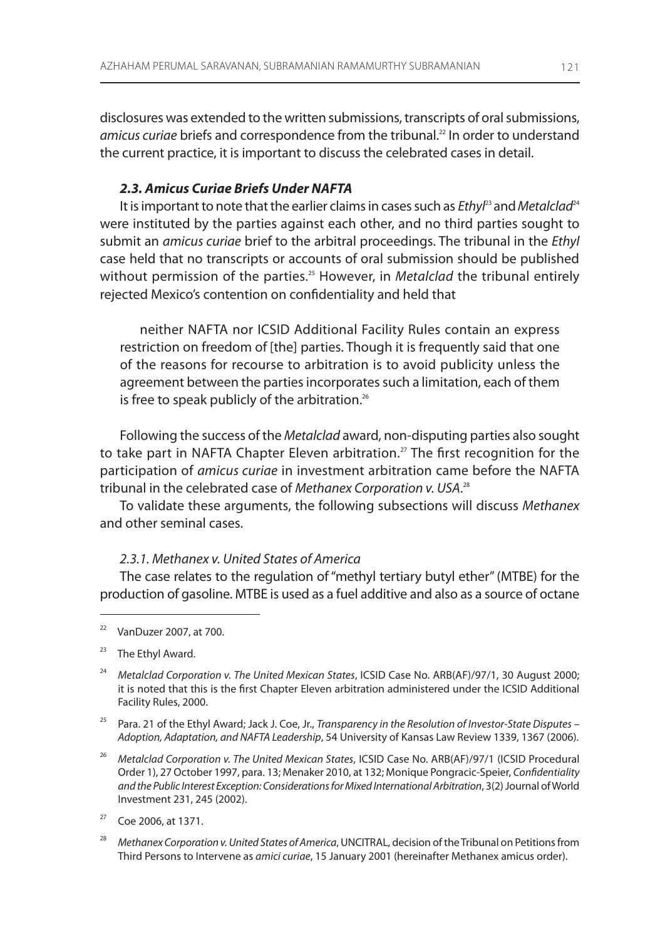disclosures was extended to the written submissions, transcripts of oral submissions, amicus curiae briefs and correspondence from the tribunal.<sup>22</sup> In order to understand the current practice, it is important to discuss the celebrated cases in detail.

## **2.3. Amicus Curiae Briefs Under NAFTA**

It is important to note that the earlier claims in cases such as  $Et$ hy $l<sup>23</sup>$  and Metalclad<sup>24</sup> were instituted by the parties against each other, and no third parties sought to submit an *amicus curiae* brief to the arbitral proceedings. The tribunal in the *Ethyl* case held that no transcripts or accounts of oral submission should be published without permission of the parties.<sup>25</sup> However, in Metalclad the tribunal entirely rejected mexico's contention on confidentiality and held that

neither NAFTA nor ICSID Additional Facility Rules contain an express restriction on freedom of [the] parties. Though it is frequently said that one of the reasons for recourse to arbitration is to avoid publicity unless the agreement between the parties incorporates such a limitation, each of them is free to speak publicly of the arbitration.<sup>26</sup>

Following the success of the Metalclad award, non-disputing parties also sought to take part in NAFTA Chapter Eleven arbitration.<sup>27</sup> The first recognition for the participation of *amicus curiae* in investment arbitration came before the NAFTA tribunal in the celebrated case of Methanex Corporation v. USA.<sup>28</sup>

To validate these arguments, the following subsections will discuss Methanex and other seminal cases.

### 2.3.1. Methanex v. United States of America

The case relates to the regulation of "methyl tertiary butyl ether" (mTBe) for the production of gasoline. mTBe is used as a fuel additive and also as a source of octane

- <sup>23</sup> The Ethyl Award.
- <sup>24</sup> Metalclad Corporation v. The United Mexican States, ICSID Case No. ARB(AF)/97/1, 30 August 2000; it is noted that this is the first Chapter Eleven arbitration administered under the ICSID Additional Facility Rules, 2000.
- <sup>25</sup> Para. 21 of the Ethyl Award; Jack J. Coe, Jr., Transparency in the Resolution of Investor-State Disputes Adoption, Adaptation, and NAFTA Leadership, 54 University of Kansas Law Review 1339, 1367 (2006).
- <sup>26</sup> Metalclad Corporation v. The United Mexican States, ICSID Case No. ARB(AF)/97/1 (ICSID Procedural Order 1), 27 October 1997, para. 13; Menaker 2010, at 132; Monique Pongracic-Speier, Confidentiality and the Public Interest Exception: Considerations for Mixed International Arbitration, 3(2) Journal of World investment 231, 245 (2002).
- <sup>27</sup> Coe 2006, at 1371.
- 28 Methanex Corporation v. United States of America, UNCITRAL, decision of the Tribunal on Petitions from Third Persons to intervene as amici curiae, 15 January 2001 (hereinafter methanex amicus order).

 $22$  VanDuzer 2007, at 700.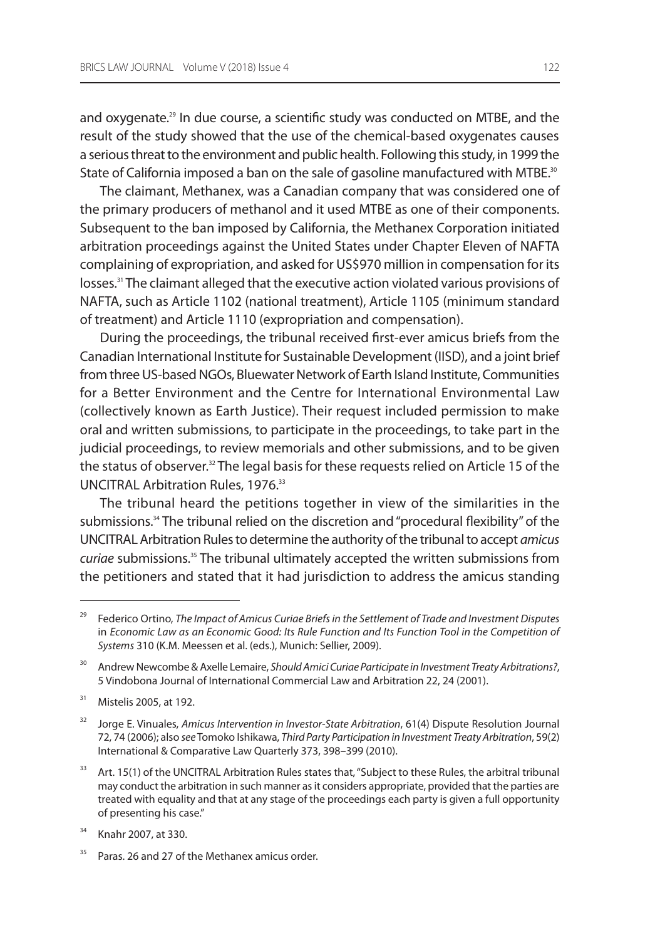and oxygenate.<sup>29</sup> In due course, a scientific study was conducted on MTBE, and the result of the study showed that the use of the chemical-based oxygenates causes a serious threat to the environment and public health. Following this study, in 1999 the State of California imposed a ban on the sale of gasoline manufactured with MTBE.<sup>30</sup>

The claimant, Methanex, was a Canadian company that was considered one of the primary producers of methanol and it used mTBe as one of their components. subsequent to the ban imposed by California, the methanex Corporation initiated arbitration proceedings against the United States under Chapter Eleven of NAFTA complaining of expropriation, and asked for US\$970 million in compensation for its losses.<sup>31</sup> The claimant alleged that the executive action violated various provisions of naFTa, such as article 1102 (national treatment), article 1105 (minimum standard of treatment) and article 1110 (expropriation and compensation).

During the proceedings, the tribunal received first-ever amicus briefs from the Canadian international institute for sustainable Development (iisD), and a joint brief from three US-based NGOs, Bluewater Network of Earth Island Institute, Communities for a Better Environment and the Centre for International Environmental Law (collectively known as earth Justice). Their request included permission to make oral and written submissions, to participate in the proceedings, to take part in the judicial proceedings, to review memorials and other submissions, and to be given the status of observer.<sup>32</sup> The legal basis for these requests relied on Article 15 of the UNCITRAL Arbitration Rules, 1976.<sup>33</sup>

The tribunal heard the petitions together in view of the similarities in the submissions.<sup>34</sup> The tribunal relied on the discretion and "procedural flexibility" of the UNCITRAL Arbitration Rules to determine the authority of the tribunal to accept amicus curiae submissions.<sup>35</sup> The tribunal ultimately accepted the written submissions from the petitioners and stated that it had jurisdiction to address the amicus standing

 $31$  Mistelis 2005, at 192.

Federico Ortino, The Impact of Amicus Curiae Briefs in the Settlement of Trade and Investment Disputes in Economic Law as an Economic Good: Its Rule Function and Its Function Tool in the Competition of Systems 310 (K.m. meessen et al. (eds.), munich: sellier, 2009).

<sup>&</sup>lt;sup>30</sup> Andrew Newcombe & Axelle Lemaire, Should Amici Curiae Participate in Investment Treaty Arbitrations?, 5 vindobona Journal of international Commercial law and arbitration 22, 24 (2001).

Jorge E. Vinuales, Amicus Intervention in Investor-State Arbitration, 61(4) Dispute Resolution Journal 72, 74 (2006); also see Tomoko ishikawa, Third Party Participation in Investment Treaty Arbitration, 59(2) international & Comparative law Quarterly 373, 398–399 (2010).

<sup>33</sup> Art. 15(1) of the UNCITRAL Arbitration Rules states that, "Subject to these Rules, the arbitral tribunal may conduct the arbitration in such manner as it considers appropriate, provided that the parties are treated with equality and that at any stage of the proceedings each party is given a full opportunity of presenting his case."

<sup>&</sup>lt;sup>34</sup> Knahr 2007, at 330.

Paras. 26 and 27 of the Methanex amicus order.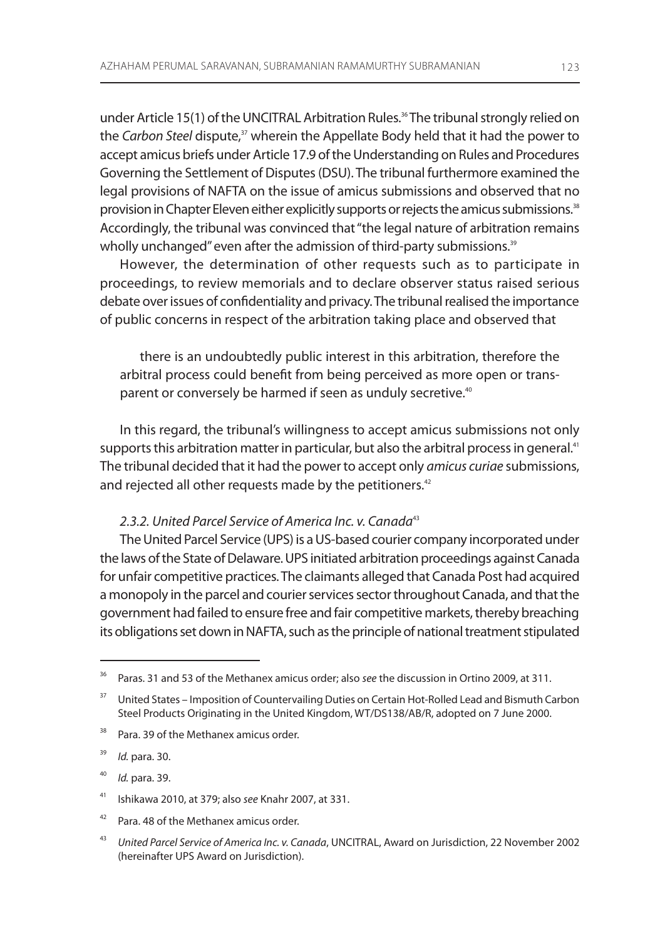under Article 15(1) of the UNCITRAL Arbitration Rules.<sup>36</sup> The tribunal strongly relied on the Carbon Steel dispute,<sup>37</sup> wherein the Appellate Body held that it had the power to accept amicus briefs under Article 17.9 of the Understanding on Rules and Procedures governing the settlement of Disputes (Dsu). The tribunal furthermore examined the legal provisions of naFTa on the issue of amicus submissions and observed that no provision in Chapter Eleven either explicitly supports or rejects the amicus submissions.<sup>38</sup> accordingly, the tribunal was convinced that "the legal nature of arbitration remains wholly unchanged" even after the admission of third-party submissions.<sup>39</sup>

however, the determination of other requests such as to participate in proceedings, to review memorials and to declare observer status raised serious debate over issues of confidentiality and privacy. The tribunal realised the importance of public concerns in respect of the arbitration taking place and observed that

there is an undoubtedly public interest in this arbitration, therefore the arbitral process could benefit from being perceived as more open or transparent or conversely be harmed if seen as unduly secretive.<sup>40</sup>

in this regard, the tribunal's willingness to accept amicus submissions not only supports this arbitration matter in particular, but also the arbitral process in general.<sup>41</sup> The tribunal decided that it had the power to accept only *amicus curiae* submissions, and rejected all other requests made by the petitioners.<sup>42</sup>

## 2.3.2. United Parcel Service of America Inc. v. Canada<sup>43</sup>

The United Parcel Service (UPS) is a US-based courier company incorporated under the laws of the State of Delaware. UPS initiated arbitration proceedings against Canada for unfair competitive practices. The claimants alleged that Canada Post had acquired a monopoly in the parcel and courier services sector throughout Canada, and that the government had failed to ensure free and fair competitive markets, thereby breaching its obligations set down in NAFTA, such as the principle of national treatment stipulated

<sup>38</sup> Para. 39 of the Methanex amicus order.

39 Id. para. 30.

40 Id. para. 39.

<sup>&</sup>lt;sup>36</sup> Paras. 31 and 53 of the Methanex amicus order; also see the discussion in Ortino 2009, at 311.

<sup>&</sup>lt;sup>37</sup> United States – Imposition of Countervailing Duties on Certain Hot-Rolled Lead and Bismuth Carbon Steel Products Originating in the United Kingdom, WT/DS138/AB/R, adopted on 7 June 2000.

<sup>&</sup>lt;sup>41</sup> Ishikawa 2010, at 379; also see Knahr 2007, at 331.

 $42$  Para. 48 of the Methanex amicus order.

<sup>43</sup> United Parcel Service of America Inc. v. Canada, UNCITRAL, Award on Jurisdiction, 22 November 2002 (hereinafter UPS Award on Jurisdiction).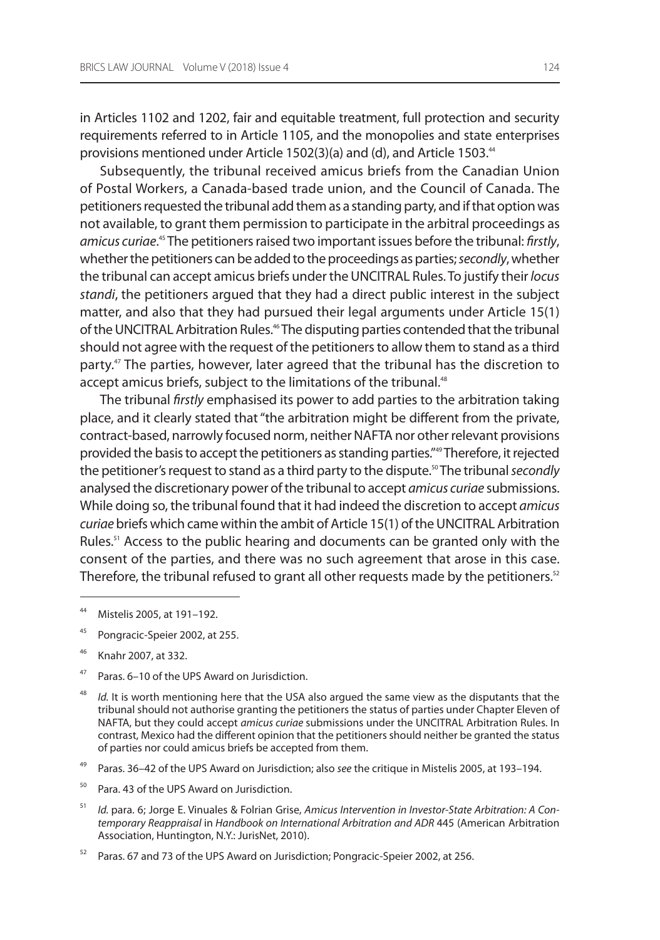in articles 1102 and 1202, fair and equitable treatment, full protection and security requirements referred to in article 1105, and the monopolies and state enterprises provisions mentioned under Article 1502(3)(a) and (d), and Article 1503.<sup>44</sup>

Subsequently, the tribunal received amicus briefs from the Canadian Union of Postal Workers, a Canada-based trade union, and the Council of Canada. The petitioners requested the tribunal add them as a standing party, and if that option was not available, to grant them permission to participate in the arbitral proceedings as amicus curiae.<sup>45</sup> The petitioners raised two important issues before the tribunal: firstly, whether the petitioners can be added to the proceedings as parties; secondly, whether the tribunal can accept amicus briefs under the UNCITRAL Rules. To justify their locus standi, the petitioners argued that they had a direct public interest in the subject matter, and also that they had pursued their legal arguments under Article 15(1) of the UNCITRAL Arbitration Rules.<sup>46</sup> The disputing parties contended that the tribunal should not agree with the request of the petitioners to allow them to stand as a third party.47 The parties, however, later agreed that the tribunal has the discretion to accept amicus briefs, subject to the limitations of the tribunal.<sup>48</sup>

The tribunal firstly emphasised its power to add parties to the arbitration taking place, and it clearly stated that "the arbitration might be different from the private, contract-based, narrowly focused norm, neither naFTa nor other relevant provisions provided the basis to accept the petitioners as standing parties."49 Therefore, it rejected the petitioner's request to stand as a third party to the dispute.<sup>50</sup> The tribunal secondly analysed the discretionary power of the tribunal to accept amicus curiae submissions. While doing so, the tribunal found that it had indeed the discretion to accept *amicus* curiae briefs which came within the ambit of Article 15(1) of the UNCITRAL Arbitration Rules.<sup>51</sup> Access to the public hearing and documents can be granted only with the consent of the parties, and there was no such agreement that arose in this case. Therefore, the tribunal refused to grant all other requests made by the petitioners. $52$ 

- <sup>45</sup> Pongracic-Speier 2002, at 255.
- <sup>46</sup> Knahr 2007, at 332.
- <sup>47</sup> Paras. 6–10 of the UPS Award on Jurisdiction.
- 48 Id. It is worth mentioning here that the USA also argued the same view as the disputants that the tribunal should not authorise granting the petitioners the status of parties under Chapter Eleven of NAFTA, but they could accept amicus curiae submissions under the UNCITRAL Arbitration Rules. In contrast, mexico had the different opinion that the petitioners should neither be granted the status of parties nor could amicus briefs be accepted from them.
- <sup>49</sup> Paras. 36–42 of the UPS Award on Jurisdiction; also see the critique in Mistelis 2005, at 193–194.
- <sup>50</sup> Para. 43 of the UPS Award on Jurisdiction.
- 51 Id. para. 6; Jorge E. Vinuales & Folrian Grise, Amicus Intervention in Investor-State Arbitration: A Contemporary Reappraisal in Handbook on International Arbitration and ADR 445 (American Arbitration Association, Huntington, N.Y.: JurisNet, 2010).
- $52$  Paras. 67 and 73 of the UPS Award on Jurisdiction; Pongracic-Speier 2002, at 256.

<sup>44</sup> mistelis 2005, at 191–192.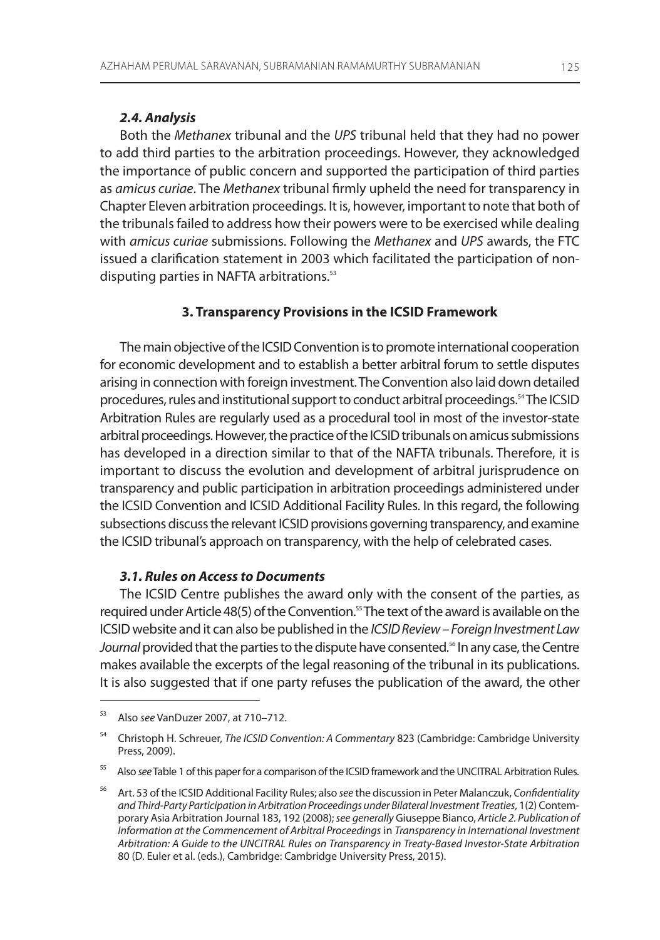## **2.4. Analysis**

Both the Methanex tribunal and the UPS tribunal held that they had no power to add third parties to the arbitration proceedings. however, they acknowledged the importance of public concern and supported the participation of third parties as amicus curiae. The Methanex tribunal firmly upheld the need for transparency in Chapter Eleven arbitration proceedings. It is, however, important to note that both of the tribunals failed to address how their powers were to be exercised while dealing with amicus curiae submissions. Following the Methanex and UPS awards, the FTC issued a clarification statement in 2003 which facilitated the participation of nondisputing parties in NAFTA arbitrations.<sup>53</sup>

### **3. Transparency Provisions in the ICSID Framework**

The main objective of the iCsiD Convention is to promote international cooperation for economic development and to establish a better arbitral forum to settle disputes arising in connection with foreign investment. The Convention also laid down detailed procedures, rules and institutional support to conduct arbitral proceedings.<sup>54</sup> The ICSID Arbitration Rules are regularly used as a procedural tool in most of the investor-state arbitral proceedings. however, the practice of the iCsiD tribunals on amicus submissions has developed in a direction similar to that of the NAFTA tribunals. Therefore, it is important to discuss the evolution and development of arbitral jurisprudence on transparency and public participation in arbitration proceedings administered under the ICSID Convention and ICSID Additional Facility Rules. In this regard, the following subsections discuss the relevant iCsiD provisions governing transparency, and examine the iCsiD tribunal's approach on transparency, with the help of celebrated cases.

#### **3.1. Rules on Access to Documents**

The iCsiD Centre publishes the award only with the consent of the parties, as required under Article 48(5) of the Convention.<sup>55</sup> The text of the award is available on the iCsiD website and it can also be published in the ICSID Review – Foreign Investment Law Journal provided that the parties to the dispute have consented.<sup>56</sup> In any case, the Centre makes available the excerpts of the legal reasoning of the tribunal in its publications. it is also suggested that if one party refuses the publication of the award, the other

Also see VanDuzer 2007, at 710–712.

<sup>&</sup>lt;sup>54</sup> Christoph H. Schreuer, The ICSID Convention: A Commentary 823 (Cambridge: Cambridge University Press, 2009).

<sup>&</sup>lt;sup>55</sup> Also see Table 1 of this paper for a comparison of the ICSID framework and the UNCITRAL Arbitration Rules.

Art. 53 of the ICSID Additional Facility Rules; also see the discussion in Peter Malanczuk, Confidentiality and Third-Party Participation in Arbitration Proceedings under Bilateral Investment Treaties, 1(2) Contemporary asia arbitration Journal 183, 192 (2008); see generally giuseppe Bianco, Article 2. Publication of Information at the Commencement of Arbitral Proceedings in Transparency in International Investment Arbitration: A Guide to the UNCITRAL Rules on Transparency in Treaty-Based Investor-State Arbitration 80 (D. Euler et al. (eds.), Cambridge: Cambridge University Press, 2015).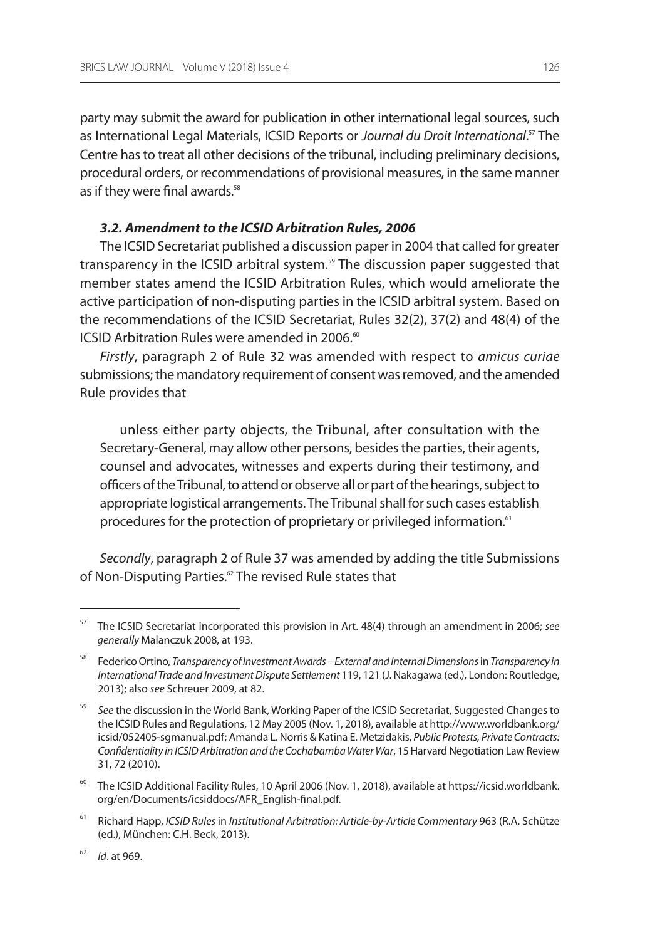party may submit the award for publication in other international legal sources, such as International Legal Materials, ICSID Reports or *Journal du Droit International.*<sup>57</sup> The Centre has to treat all other decisions of the tribunal, including preliminary decisions, procedural orders, or recommendations of provisional measures, in the same manner as if they were final awards.<sup>58</sup>

## **3.2. Amendment to the ICSID Arbitration Rules, 2006**

The iCsiD secretariat published a discussion paper in 2004 that called for greater transparency in the ICSID arbitral system.<sup>59</sup> The discussion paper suggested that member states amend the ICSID Arbitration Rules, which would ameliorate the active participation of non-disputing parties in the iCsiD arbitral system. Based on the recommendations of the ICSID Secretariat, Rules 32(2), 37(2) and 48(4) of the ICSID Arbitration Rules were amended in 2006.<sup>60</sup>

Firstly, paragraph 2 of Rule 32 was amended with respect to amicus curiae submissions; the mandatory requirement of consent was removed, and the amended Rule provides that

unless either party objects, the Tribunal, after consultation with the Secretary-General, may allow other persons, besides the parties, their agents, counsel and advocates, witnesses and experts during their testimony, and officers of the Tribunal, to attend or observe all or part of the hearings, subject to appropriate logistical arrangements. The Tribunal shall for such cases establish procedures for the protection of proprietary or privileged information.<sup>61</sup>

Secondly, paragraph 2 of Rule 37 was amended by adding the title Submissions of Non-Disputing Parties.<sup>62</sup> The revised Rule states that

 $57$  The ICSID Secretariat incorporated this provision in Art. 48(4) through an amendment in 2006; see generally malanczuk 2008, at 193.

<sup>&</sup>lt;sup>58</sup> Federico Ortino, Transparency of Investment Awards – External and Internal Dimensions in Transparency in International Trade and Investment Dispute Settlement 119, 121 (J. Nakagawa (ed.), London: Routledge, 2013); also see schreuer 2009, at 82.

<sup>&</sup>lt;sup>59</sup> See the discussion in the World Bank, Working Paper of the ICSID Secretariat, Suggested Changes to the ICSID Rules and Regulations, 12 May 2005 (Nov. 1, 2018), available at http://www.worldbank.org/ icsid/052405-sgmanual.pdf; Amanda L. Norris & Katina E. Metzidakis, Public Protests, Private Contracts: Confidentiality in ICSID Arbitration and the Cochabamba Water War, 15 Harvard Negotiation Law Review 31, 72 (2010).

 $60$  The ICSID Additional Facility Rules, 10 April 2006 (Nov. 1, 2018), available at https://icsid.worldbank. org/en/Documents/icsiddocs/aFr\_english-final.pdf.

<sup>61</sup> Richard Happ, ICSID Rules in Institutional Arbitration: Article-by-Article Commentary 963 (R.A. Schütze (ed.), münchen: C.h. Beck, 2013).

 $1/16$ . at 969.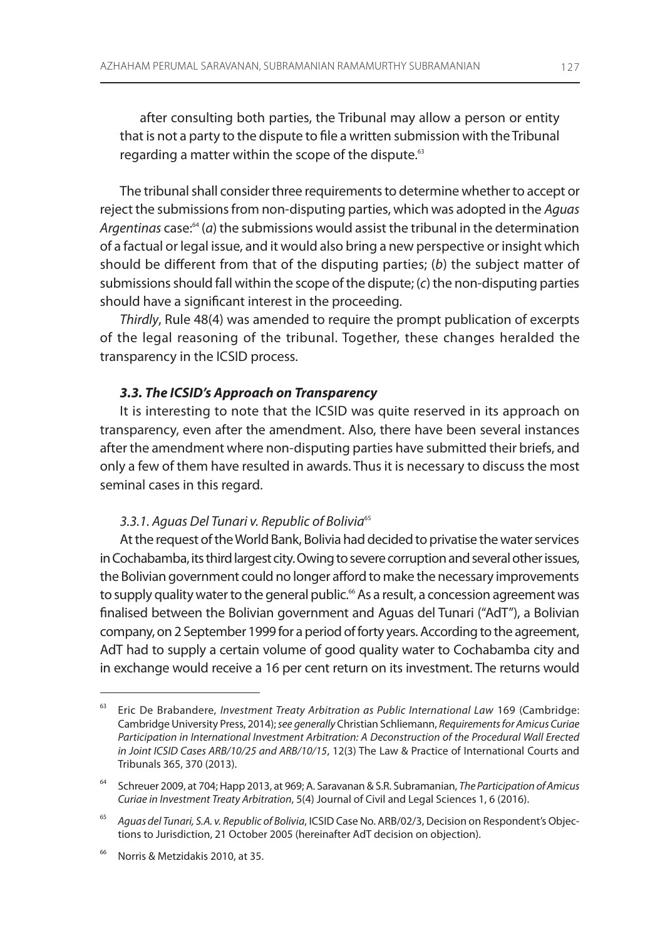after consulting both parties, the Tribunal may allow a person or entity that is not a party to the dispute to file a written submission with the Tribunal regarding a matter within the scope of the dispute.<sup>63</sup>

The tribunal shall consider three requirements to determine whether to accept or reject the submissions from non-disputing parties, which was adopted in the Aguas Argentinas case: $64$  (a) the submissions would assist the tribunal in the determination of a factual or legal issue, and it would also bring a new perspective or insight which should be different from that of the disputing parties;  $(b)$  the subject matter of submissions should fall within the scope of the dispute; (c) the non-disputing parties should have a significant interest in the proceeding.

Thirdly, Rule 48(4) was amended to require the prompt publication of excerpts of the legal reasoning of the tribunal. Together, these changes heralded the transparency in the iCsiD process.

## **3.3. The ICSID's Approach on Transparency**

It is interesting to note that the ICSID was quite reserved in its approach on transparency, even after the amendment. also, there have been several instances after the amendment where non-disputing parties have submitted their briefs, and only a few of them have resulted in awards. Thus it is necessary to discuss the most seminal cases in this regard.

## 3.3.1. Aguas Del Tunari v. Republic of Bolivia<sup>65</sup>

at the request of the World Bank, Bolivia had decided to privatise the water services in Cochabamba, its third largest city. Owing to severe corruption and several other issues, the Bolivian government could no longer afford to make the necessary improvements to supply quality water to the general public.<sup>66</sup> As a result, a concession agreement was finalised between the Bolivian government and aguas del Tunari ("adT"), a Bolivian company, on 2 september 1999 for a period of forty years. according to the agreement, adT had to supply a certain volume of good quality water to Cochabamba city and in exchange would receive a 16 per cent return on its investment. The returns would

 $63$  Eric De Brabandere, Investment Treaty Arbitration as Public International Law 169 (Cambridge: Cambridge University Press, 2014); see generally Christian Schliemann, Requirements for Amicus Curiae Participation in International Investment Arbitration: A Deconstruction of the Procedural Wall Erected in Joint ICSID Cases ARB/10/25 and ARB/10/15, 12(3) The law & Practice of international Courts and Tribunals 365, 370 (2013).

<sup>&</sup>lt;sup>64</sup> Schreuer 2009, at 704; Happ 2013, at 969; A. Saravanan & S.R. Subramanian, The Participation of Amicus Curiae in Investment Treaty Arbitration, 5(4) Journal of Civil and legal sciences 1, 6 (2016).

<sup>&</sup>lt;sup>65</sup> Aguas del Tunari, S.A. v. Republic of Bolivia, ICSID Case No. ARB/02/3, Decision on Respondent's Objections to Jurisdiction, 21 October 2005 (hereinafter AdT decision on objection).

<sup>&</sup>lt;sup>66</sup> Norris & Metzidakis 2010, at 35.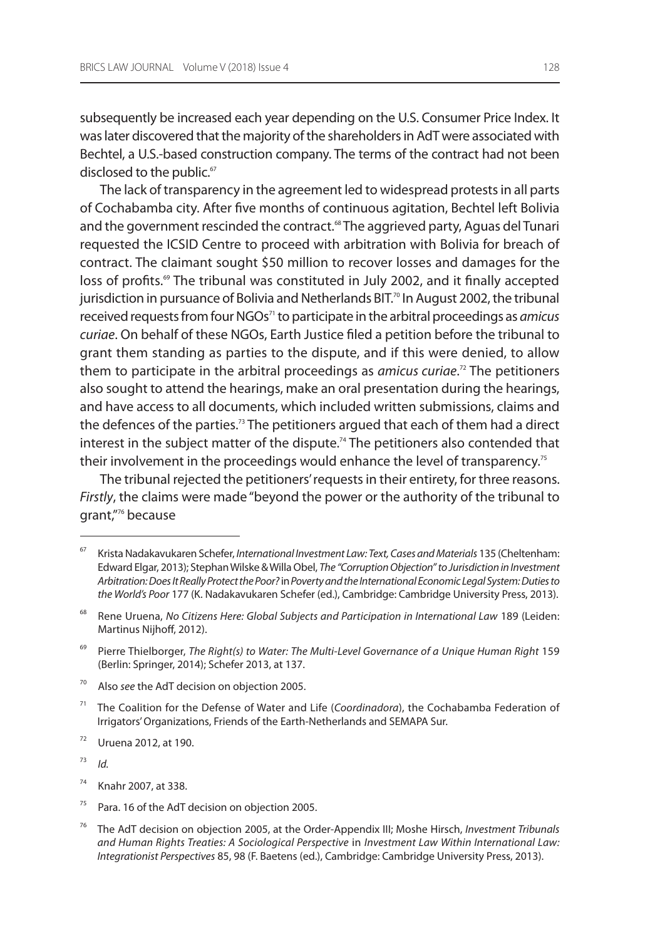subsequently be increased each year depending on the U.S. Consumer Price Index. It was later discovered that the majority of the shareholders in AdT were associated with Bechtel, a U.S.-based construction company. The terms of the contract had not been disclosed to the public.<sup>67</sup>

The lack of transparency in the agreement led to widespread protests in all parts of Cochabamba city. after five months of continuous agitation, Bechtel left Bolivia and the government rescinded the contract.<sup>68</sup> The aggrieved party, Aguas del Tunari requested the iCsiD Centre to proceed with arbitration with Bolivia for breach of contract. The claimant sought \$50 million to recover losses and damages for the loss of profits.<sup>69</sup> The tribunal was constituted in July 2002, and it finally accepted jurisdiction in pursuance of Bolivia and Netherlands BIT.<sup>70</sup> In August 2002, the tribunal received requests from four  $NGOs<sup>71</sup>$  to participate in the arbitral proceedings as amicus curiae. On behalf of these NGOs, Earth Justice filed a petition before the tribunal to grant them standing as parties to the dispute, and if this were denied, to allow them to participate in the arbitral proceedings as *amicus curiae*.<sup>72</sup> The petitioners also sought to attend the hearings, make an oral presentation during the hearings, and have access to all documents, which included written submissions, claims and the defences of the parties.<sup>73</sup> The petitioners argued that each of them had a direct interest in the subject matter of the dispute.<sup>74</sup> The petitioners also contended that their involvement in the proceedings would enhance the level of transparency.<sup>75</sup>

The tribunal rejected the petitioners' requests in their entirety, for three reasons. Firstly, the claims were made "beyond the power or the authority of the tribunal to grant,"<sup>76</sup> because

<sup>68</sup> Rene Uruena, No Citizens Here: Global Subjects and Participation in International Law 189 (Leiden: Martinus Nijhoff, 2012).

- Also see the AdT decision on objection 2005.
- $71$  The Coalition for the Defense of Water and Life (Coordinadora), the Cochabamba Federation of Irrigators' Organizations, Friends of the Earth-Netherlands and SEMAPA Sur.
- $72$  Uruena 2012, at 190.

73 Id.

- Knahr 2007, at 338.
- $75$  Para. 16 of the AdT decision on objection 2005.
- $76$  The AdT decision on objection 2005, at the Order-Appendix III; Moshe Hirsch, Investment Tribunals and Human Rights Treaties: A Sociological Perspective in Investment Law Within International Law: Integrationist Perspectives 85, 98 (F. Baetens (ed.), Cambridge: Cambridge University Press, 2013).

Krista Nadakavukaren Schefer, International Investment Law: Text, Cases and Materials 135 (Cheltenham: Edward Elgar, 2013); Stephan Wilske & Willa Obel, The "Corruption Objection" to Jurisdiction in Investment Arbitration: Does It Really Protect the Poor? in Poverty and the International Economic Legal System: Duties to the World's Poor 177 (K. Nadakavukaren Schefer (ed.), Cambridge: Cambridge University Press, 2013).

 $69$  Pierre Thielborger, The Right(s) to Water: The Multi-Level Governance of a Unique Human Right 159 (Berlin: springer, 2014); schefer 2013, at 137.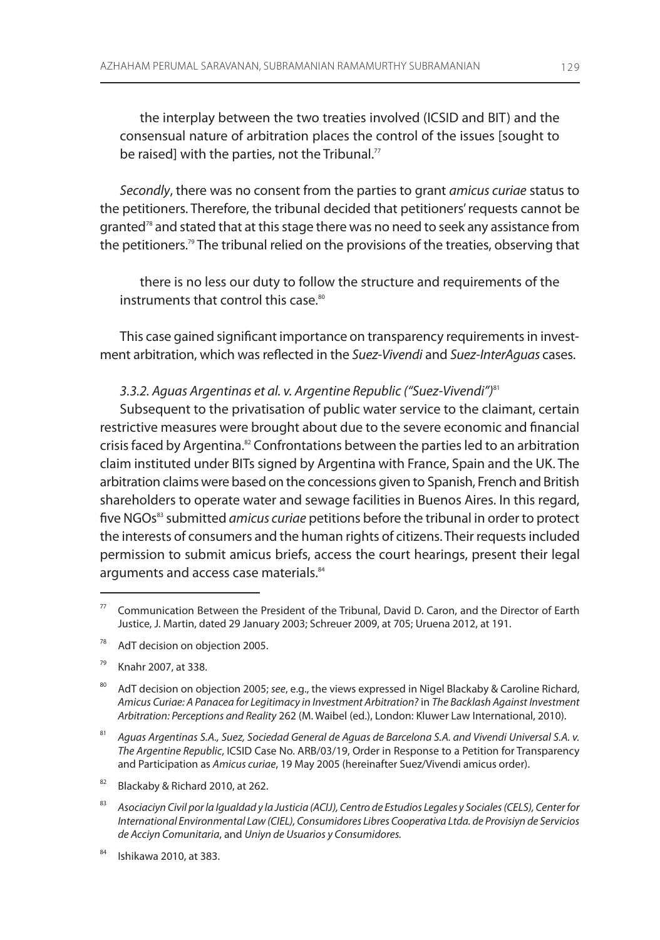the interplay between the two treaties involved (iCsiD and BiT) and the consensual nature of arbitration places the control of the issues [sought to be raised] with the parties, not the Tribunal. $77$ 

Secondly, there was no consent from the parties to grant amicus curiae status to the petitioners. Therefore, the tribunal decided that petitioners' requests cannot be granted<sup>78</sup> and stated that at this stage there was no need to seek any assistance from the petitioners.<sup>79</sup> The tribunal relied on the provisions of the treaties, observing that

there is no less our duty to follow the structure and requirements of the instruments that control this case.<sup>80</sup>

This case gained significant importance on transparency requirements in investment arbitration, which was reflected in the Suez-Vivendi and Suez-InterAguas cases.

## 3.3.2. Aguas Argentinas et al. v. Argentine Republic ("Suez-Vivendi")<sup>81</sup>

subsequent to the privatisation of public water service to the claimant, certain restrictive measures were brought about due to the severe economic and financial crisis faced by Argentina.<sup>82</sup> Confrontations between the parties led to an arbitration claim instituted under BiTs signed by argentina with France, spain and the uK. The arbitration claims were based on the concessions given to spanish, French and British shareholders to operate water and sewage facilities in Buenos Aires. In this regard, five NGOs<sup>83</sup> submitted *amicus curiae* petitions before the tribunal in order to protect the interests of consumers and the human rights of citizens. Their requests included permission to submit amicus briefs, access the court hearings, present their legal arguments and access case materials.<sup>84</sup>

- <sup>78</sup> AdT decision on objection 2005.
- <sup>79</sup> Knahr 2007, at 338.

Communication Between the President of the Tribunal, David D. Caron, and the Director of Earth Justice, J. martin, dated 29 January 2003; schreuer 2009, at 705; uruena 2012, at 191.

<sup>&</sup>lt;sup>80</sup> AdT decision on objection 2005; see, e.g., the views expressed in Nigel Blackaby & Caroline Richard, Amicus Curiae: A Panacea for Legitimacy in Investment Arbitration? in The Backlash Against Investment Arbitration: Perceptions and Reality 262 (m. Waibel (ed.), london: Kluwer law international, 2010).

<sup>81</sup> Aguas Argentinas S.A., Suez, Sociedad General de Aguas de Barcelona S.A. and Vivendi Universal S.A. v. The Argentine Republic, ICSID Case No. ARB/03/19, Order in Response to a Petition for Transparency and Participation as Amicus curiae, 19 May 2005 (hereinafter Suez/Vivendi amicus order).

<sup>82</sup> Blackaby & Richard 2010, at 262.

<sup>83</sup> Asociaciуn Civil por la Igualdad y la Justicia (ACIJ), Centro de Estudios Legales y Sociales (CELS), Center for International Environmental Law (CIEL), Consumidores Libres Cooperativa Ltda. de Provisiуn de Servicios de Acciуn Comunitaria, and Uniуn de Usuarios y Consumidores.

<sup>84</sup> ishikawa 2010, at 383.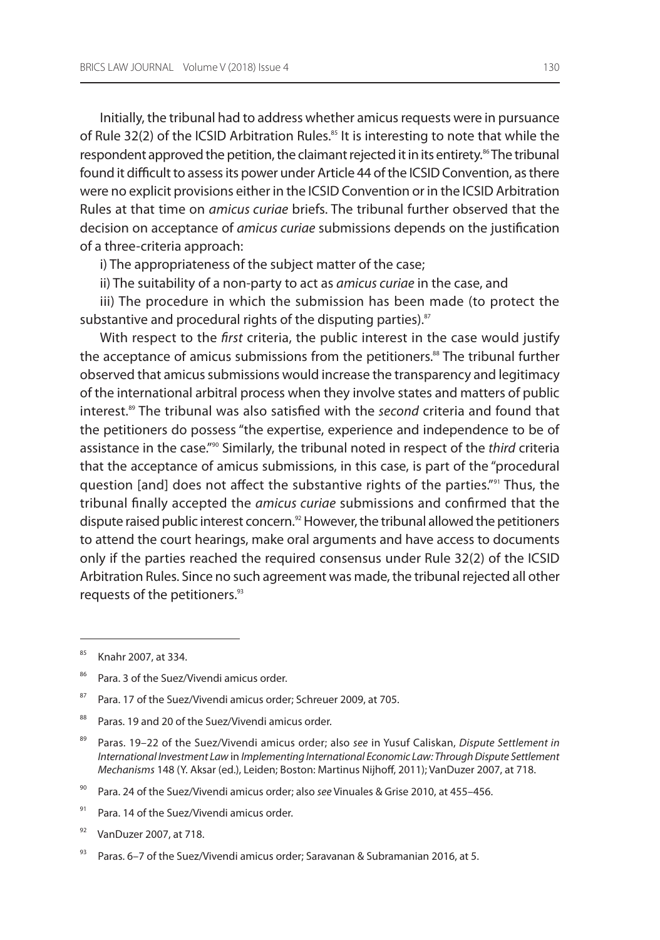initially, the tribunal had to address whether amicus requests were in pursuance of Rule 32(2) of the ICSID Arbitration Rules.<sup>85</sup> It is interesting to note that while the respondent approved the petition, the claimant rejected it in its entirety.<sup>86</sup> The tribunal found it difficult to assess its power under Article 44 of the ICSID Convention, as there were no explicit provisions either in the iCsiD Convention or in the iCsiD arbitration Rules at that time on *amicus curiae* briefs. The tribunal further observed that the decision on acceptance of amicus curiae submissions depends on the justification of a three-criteria approach:

i) The appropriateness of the subject matter of the case;

ii) The suitability of a non-party to act as *amicus curiae* in the case, and

iii) The procedure in which the submission has been made (to protect the substantive and procedural rights of the disputing parties).<sup>87</sup>

With respect to the *first* criteria, the public interest in the case would justify the acceptance of amicus submissions from the petitioners.<sup>88</sup> The tribunal further observed that amicus submissions would increase the transparency and legitimacy of the international arbitral process when they involve states and matters of public interest.<sup>89</sup> The tribunal was also satisfied with the second criteria and found that the petitioners do possess "the expertise, experience and independence to be of assistance in the case."<sup>90</sup> Similarly, the tribunal noted in respect of the third criteria that the acceptance of amicus submissions, in this case, is part of the "procedural question [and] does not affect the substantive rights of the parties."91 Thus, the tribunal finally accepted the amicus curiae submissions and confirmed that the dispute raised public interest concern.<sup>92</sup> However, the tribunal allowed the petitioners to attend the court hearings, make oral arguments and have access to documents only if the parties reached the required consensus under Rule 32(2) of the ICSID Arbitration Rules. Since no such agreement was made, the tribunal rejected all other requests of the petitioners.<sup>93</sup>

- <sup>88</sup> Paras. 19 and 20 of the Suez/Vivendi amicus order.
- <sup>89</sup> Paras. 19–22 of the Suez/Vivendi amicus order; also see in Yusuf Caliskan, Dispute Settlement in International Investment Law in Implementing International Economic Law: Through Dispute Settlement Mechanisms 148 (Y. Aksar (ed.), Leiden; Boston: Martinus Nijhoff, 2011); VanDuzer 2007, at 718.
- <sup>90</sup> Para. 24 of the Suez/Vivendi amicus order; also see Vinuales & Grise 2010, at 455–456.
- 91 Para. 14 of the Suez/Vivendi amicus order.
- $92$  VanDuzer 2007, at 718.

<sup>85</sup> Knahr 2007, at 334.

<sup>&</sup>lt;sup>86</sup> Para. 3 of the Suez/Vivendi amicus order.

<sup>&</sup>lt;sup>87</sup> Para. 17 of the Suez/Vivendi amicus order; Schreuer 2009, at 705.

Paras. 6–7 of the Suez/Vivendi amicus order; Saravanan & Subramanian 2016, at 5.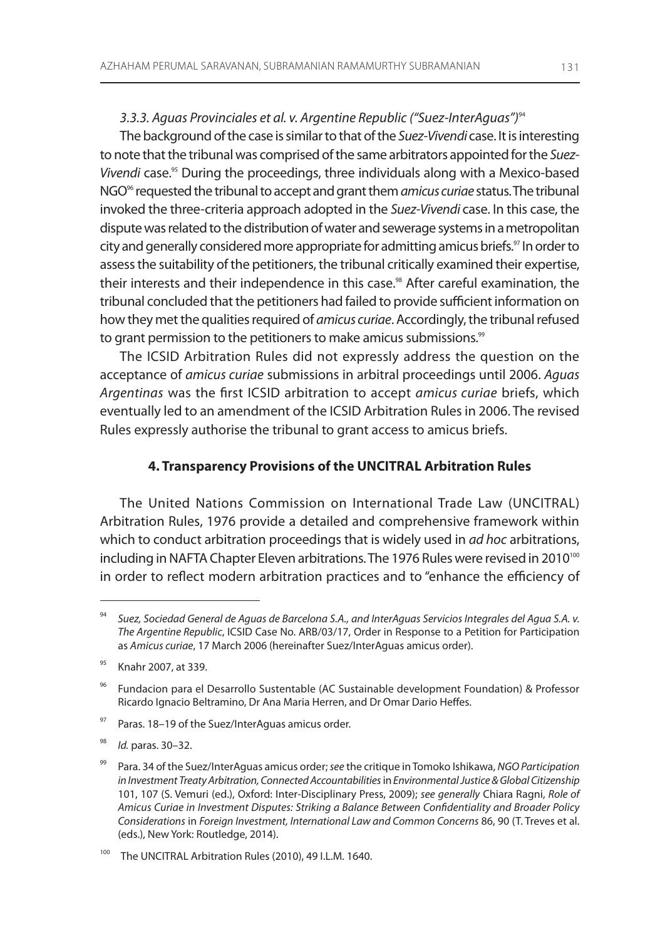## 3.3.3. Aguas Provinciales et al. v. Argentine Republic ("Suez-InterAguas")<sup>94</sup>

The background of the case is similar to that of the Suez-Vivendi case. It is interesting to note that the tribunal was comprised of the same arbitrators appointed for the Suez-Vivendi case.<sup>95</sup> During the proceedings, three individuals along with a Mexico-based NGO<sup>96</sup> requested the tribunal to accept and grant them *amicus curiae* status. The tribunal invoked the three-criteria approach adopted in the Suez-Vivendi case. in this case, the dispute was related to the distribution of water and sewerage systems in a metropolitan city and generally considered more appropriate for admitting amicus briefs.<sup>97</sup> In order to assess the suitability of the petitioners, the tribunal critically examined their expertise, their interests and their independence in this case.<sup>98</sup> After careful examination, the tribunal concluded that the petitioners had failed to provide sufficient information on how they met the qualities required of *amicus curiae*. Accordingly, the tribunal refused to grant permission to the petitioners to make amicus submissions.<sup>99</sup>

The ICSID Arbitration Rules did not expressly address the question on the acceptance of amicus curiae submissions in arbitral proceedings until 2006. Aguas Argentinas was the first ICSID arbitration to accept amicus curiae briefs, which eventually led to an amendment of the ICSID Arbitration Rules in 2006. The revised Rules expressly authorise the tribunal to grant access to amicus briefs.

### **4. Transparency Provisions of the UNCITRAL Arbitration Rules**

The United Nations Commission on International Trade Law (UNCITRAL) Arbitration Rules, 1976 provide a detailed and comprehensive framework within which to conduct arbitration proceedings that is widely used in *ad hoc* arbitrations, including in NAFTA Chapter Eleven arbitrations. The 1976 Rules were revised in 2010<sup>100</sup> in order to reflect modern arbitration practices and to "enhance the efficiency of

- $97$  Paras. 18–19 of the Suez/InterAquas amicus order.
- 98 Id. paras. 30–32.

<sup>94</sup> Suez, Sociedad General de Aguas de Barcelona S.A., and InterAguas Servicios Integrales del Agua S.A. v. The Argentine Republic, ICSID Case No. ARB/03/17, Order in Response to a Petition for Participation as Amicus curiae, 17 March 2006 (hereinafter Suez/InterAquas amicus order).

<sup>95</sup> Knahr 2007, at 339.

<sup>96</sup> Fundacion para el Desarrollo sustentable (aC sustainable development Foundation) & Professor Ricardo Ignacio Beltramino, Dr Ana Maria Herren, and Dr Omar Dario Heffes.

<sup>&</sup>lt;sup>99</sup> Para. 34 of the Suez/InterAguas amicus order; see the critique in Tomoko Ishikawa, NGO Participation in Investment Treaty Arbitration, Connected Accountabilities in Environmental Justice & Global Citizenship 101, 107 (S. Vemuri (ed.), Oxford: Inter-Disciplinary Press, 2009); see generally Chiara Ragni, Role of Amicus Curiae in Investment Disputes: Striking a Balance Between Confidentiality and Broader Policy Considerations in Foreign Investment, International Law and Common Concerns 86, 90 (T. Treves et al. (eds.), New York: Routledge, 2014).

The UNCITRAL Arbitration Rules (2010), 49 I.L.M. 1640.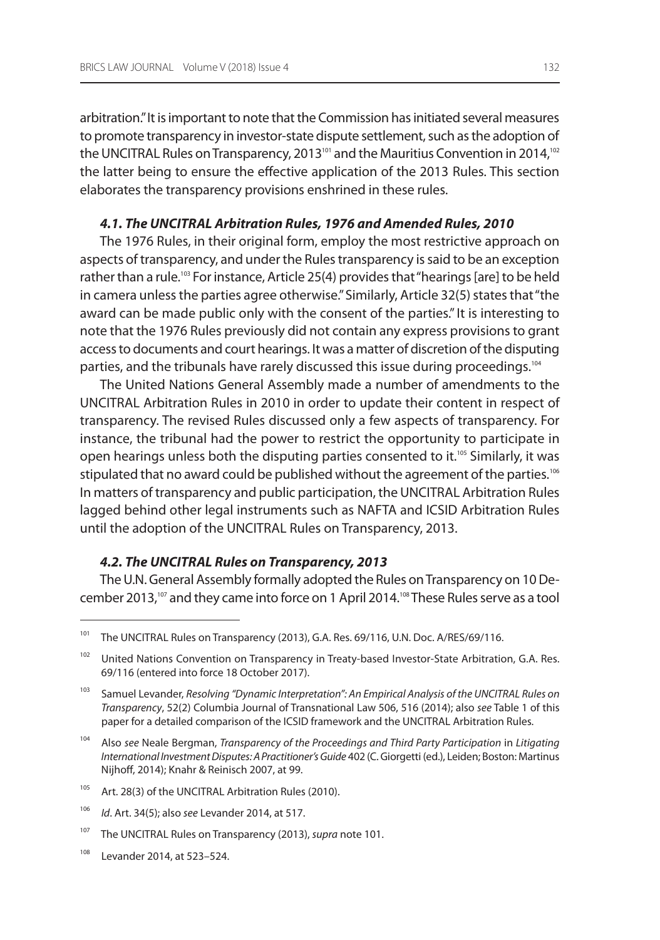arbitration." it is important to note that the Commission has initiated several measures to promote transparency in investor-state dispute settlement, such as the adoption of the UNCITRAL Rules on Transparency, 2013<sup>101</sup> and the Mauritius Convention in 2014,<sup>102</sup> the latter being to ensure the effective application of the 2013 Rules. This section elaborates the transparency provisions enshrined in these rules.

## **4.1. The UNCITRAL Arbitration Rules, 1976 and Amended Rules, 2010**

The 1976 Rules, in their original form, employ the most restrictive approach on aspects of transparency, and under the Rules transparency is said to be an exception rather than a rule.<sup>103</sup> For instance, Article 25(4) provides that "hearings [are] to be held in camera unless the parties agree otherwise." similarly, article 32(5) states that "the award can be made public only with the consent of the parties." it is interesting to note that the 1976 Rules previously did not contain any express provisions to grant access to documents and court hearings. it was a matter of discretion of the disputing parties, and the tribunals have rarely discussed this issue during proceedings.<sup>104</sup>

The United Nations General Assembly made a number of amendments to the UNCITRAL Arbitration Rules in 2010 in order to update their content in respect of transparency. The revised Rules discussed only a few aspects of transparency. For instance, the tribunal had the power to restrict the opportunity to participate in open hearings unless both the disputing parties consented to it.<sup>105</sup> Similarly, it was stipulated that no award could be published without the agreement of the parties.<sup>106</sup> In matters of transparency and public participation, the UNCITRAL Arbitration Rules lagged behind other legal instruments such as NAFTA and ICSID Arbitration Rules until the adoption of the UNCITRAL Rules on Transparency, 2013.

## **4.2. The UNCITRAL Rules on Transparency, 2013**

The U.N. General Assembly formally adopted the Rules on Transparency on 10 December 2013,<sup>107</sup> and they came into force on 1 April 2014.<sup>108</sup> These Rules serve as a tool

<sup>105</sup> Art. 28(3) of the UNCITRAL Arbitration Rules (2010).

<sup>108</sup> levander 2014, at 523–524.

<sup>&</sup>lt;sup>101</sup> The UNCITRAL Rules on Transparency (2013), G.A. Res. 69/116, U.N. Doc. A/RES/69/116.

<sup>&</sup>lt;sup>102</sup> United Nations Convention on Transparency in Treaty-based Investor-State Arbitration, G.A. Res. 69/116 (entered into force 18 october 2017).

<sup>&</sup>lt;sup>103</sup> Samuel Levander, Resolving "Dynamic Interpretation": An Empirical Analysis of the UNCITRAL Rules on Transparency, 52(2) Columbia Journal of Transnational law 506, 516 (2014); also see Table 1 of this paper for a detailed comparison of the ICSID framework and the UNCITRAL Arbitration Rules.

<sup>&</sup>lt;sup>104</sup> Also see Neale Bergman, Transparency of the Proceedings and Third Party Participation in Litigating International Investment Disputes: A Practitioner's Guide 402 (C. giorgetti (ed.), leiden; Boston: martinus Nijhoff, 2014); Knahr & Reinisch 2007, at 99.

<sup>106</sup> Id. art. 34(5); also see levander 2014, at 517.

<sup>&</sup>lt;sup>107</sup> The UNCITRAL Rules on Transparency (2013), supra note 101.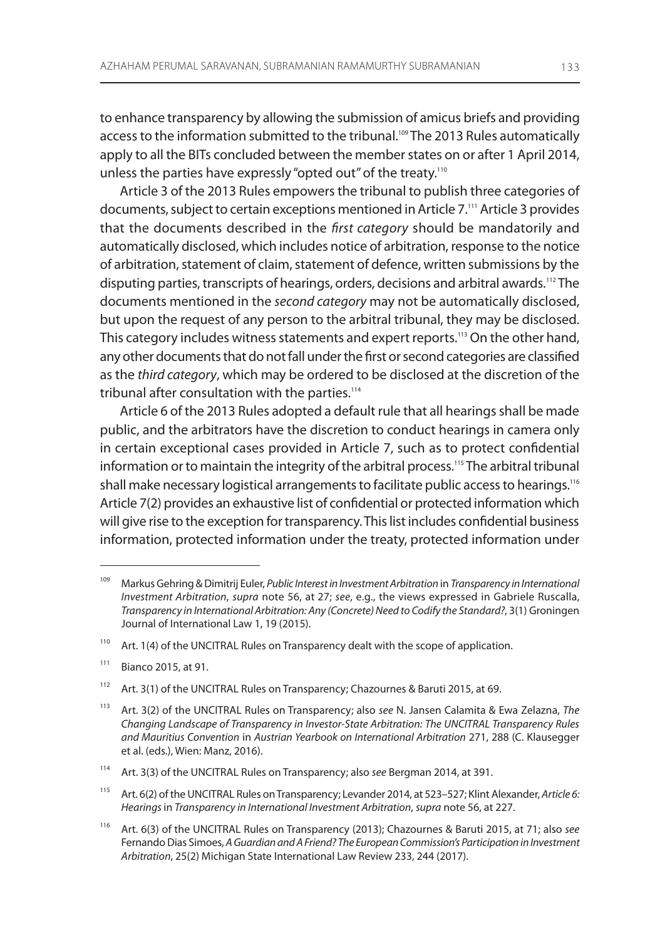to enhance transparency by allowing the submission of amicus briefs and providing access to the information submitted to the tribunal.<sup>109</sup> The 2013 Rules automatically apply to all the BITs concluded between the member states on or after 1 April 2014, unless the parties have expressly "opted out" of the treaty.<sup>110</sup>

Article 3 of the 2013 Rules empowers the tribunal to publish three categories of documents, subject to certain exceptions mentioned in Article 7.<sup>111</sup> Article 3 provides that the documents described in the first category should be mandatorily and automatically disclosed, which includes notice of arbitration, response to the notice of arbitration, statement of claim, statement of defence, written submissions by the disputing parties, transcripts of hearings, orders, decisions and arbitral awards.112 The documents mentioned in the second category may not be automatically disclosed, but upon the request of any person to the arbitral tribunal, they may be disclosed. This category includes witness statements and expert reports.<sup>113</sup> On the other hand, any other documents that do not fall under the first or second categories are classified as the third category, which may be ordered to be disclosed at the discretion of the tribunal after consultation with the parties.<sup>114</sup>

Article 6 of the 2013 Rules adopted a default rule that all hearings shall be made public, and the arbitrators have the discretion to conduct hearings in camera only in certain exceptional cases provided in Article 7, such as to protect confidential information or to maintain the integrity of the arbitral process.<sup>115</sup> The arbitral tribunal shall make necessary logistical arrangements to facilitate public access to hearings.<sup>116</sup> Article 7(2) provides an exhaustive list of confidential or protected information which will give rise to the exception for transparency. This list includes confidential business information, protected information under the treaty, protected information under

<sup>&</sup>lt;sup>109</sup> Markus Gehring & Dimitrij Euler, Public Interest in Investment Arbitration in Transparency in International Investment Arbitration, supra note 56, at 27; see, e.g., the views expressed in Gabriele Ruscalla, Transparency in International Arbitration: Any (Concrete) Need to Codify the Standard?, 3(1) groningen Journal of International Law 1, 19 (2015).

 $110$  Art. 1(4) of the UNCITRAL Rules on Transparency dealt with the scope of application.

 $111$  Bianco 2015, at 91.

<sup>&</sup>lt;sup>112</sup> Art. 3(1) of the UNCITRAL Rules on Transparency; Chazournes & Baruti 2015, at 69.

<sup>&</sup>lt;sup>113</sup> Art. 3(2) of the UNCITRAL Rules on Transparency; also see N. Jansen Calamita & Ewa Zelazna, The Changing Landscape of Transparency in Investor-State Arbitration: The UNCITRAL Transparency Rules and Mauritius Convention in Austrian Yearbook on International Arbitration 271, 288 (C. Klausegger et al. (eds.), Wien: manz, 2016).

<sup>&</sup>lt;sup>114</sup> Art. 3(3) of the UNCITRAL Rules on Transparency; also see Bergman 2014, at 391.

<sup>&</sup>lt;sup>115</sup> Art. 6(2) of the UNCITRAL Rules on Transparency; Levander 2014, at 523–527; Klint Alexander, Article 6: Hearings in Transparency in International Investment Arbitration, supra note 56, at 227.

<sup>&</sup>lt;sup>116</sup> Art. 6(3) of the UNCITRAL Rules on Transparency (2013); Chazournes & Baruti 2015, at 71; also see Fernando Dias simoes, A Guardian and A Friend? The European Commission's Participation in Investment Arbitration, 25(2) Michigan State International Law Review 233, 244 (2017).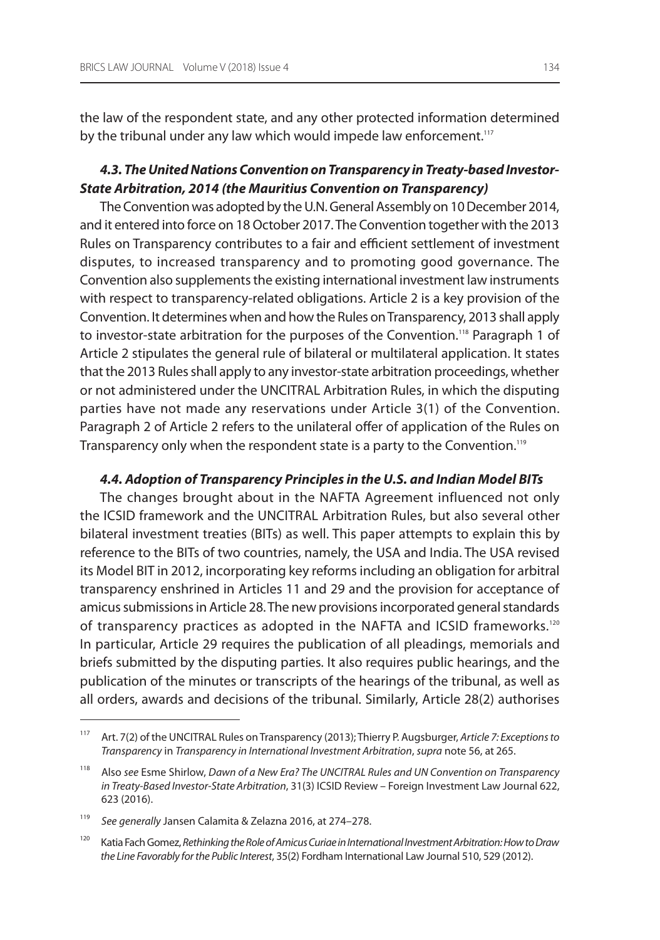the law of the respondent state, and any other protected information determined by the tribunal under any law which would impede law enforcement.<sup>117</sup>

# **4.3. The United Nations Convention on Transparency in Treaty-based Investor-State Arbitration, 2014 (the Mauritius Convention on Transparency)**

The Convention was adopted by the U.N. General Assembly on 10 December 2014, and it entered into force on 18 october 2017. The Convention together with the 2013 Rules on Transparency contributes to a fair and efficient settlement of investment disputes, to increased transparency and to promoting good governance. The Convention also supplements the existing international investment law instruments with respect to transparency-related obligations. article 2 is a key provision of the Convention. it determines when and how the rules on Transparency, 2013 shall apply to investor-state arbitration for the purposes of the Convention.<sup>118</sup> Paragraph 1 of article 2 stipulates the general rule of bilateral or multilateral application. it states that the 2013 Rules shall apply to any investor-state arbitration proceedings, whether or not administered under the UNCITRAL Arbitration Rules, in which the disputing parties have not made any reservations under article 3(1) of the Convention. Paragraph 2 of Article 2 refers to the unilateral offer of application of the Rules on Transparency only when the respondent state is a party to the Convention.<sup>119</sup>

### **4.4. Adoption of Transparency Principles in the U.S. and Indian Model BITs**

The changes brought about in the NAFTA Agreement influenced not only the ICSID framework and the UNCITRAL Arbitration Rules, but also several other bilateral investment treaties (BiTs) as well. This paper attempts to explain this by reference to the BITs of two countries, namely, the USA and India. The USA revised its model BiT in 2012, incorporating key reforms including an obligation for arbitral transparency enshrined in articles 11 and 29 and the provision for acceptance of amicus submissions in article 28. The new provisions incorporated general standards of transparency practices as adopted in the NAFTA and ICSID frameworks.<sup>120</sup> In particular, Article 29 requires the publication of all pleadings, memorials and briefs submitted by the disputing parties. it also requires public hearings, and the publication of the minutes or transcripts of the hearings of the tribunal, as well as all orders, awards and decisions of the tribunal. similarly, article 28(2) authorises

<sup>117</sup> Art. 7(2) of the UNCITRAL Rules on Transparency (2013); Thierry P. Augsburger, Article 7: Exceptions to Transparency in Transparency in International Investment Arbitration, supra note 56, at 265.

<sup>&</sup>lt;sup>118</sup> Also see Esme Shirlow, Dawn of a New Era? The UNCITRAL Rules and UN Convention on Transparency in Treaty-Based Investor-State Arbitration, 31(3) ICSID Review – Foreign Investment Law Journal 622, 623 (2016).

<sup>119</sup> See generally Jansen Calamita & Zelazna 2016, at 274–278.

<sup>&</sup>lt;sup>120</sup> Katia Fach Gomez, Rethinking the Role of Amicus Curiae in International Investment Arbitration: How to Draw the Line Favorably for the Public Interest, 35(2) Fordham international law Journal 510, 529 (2012).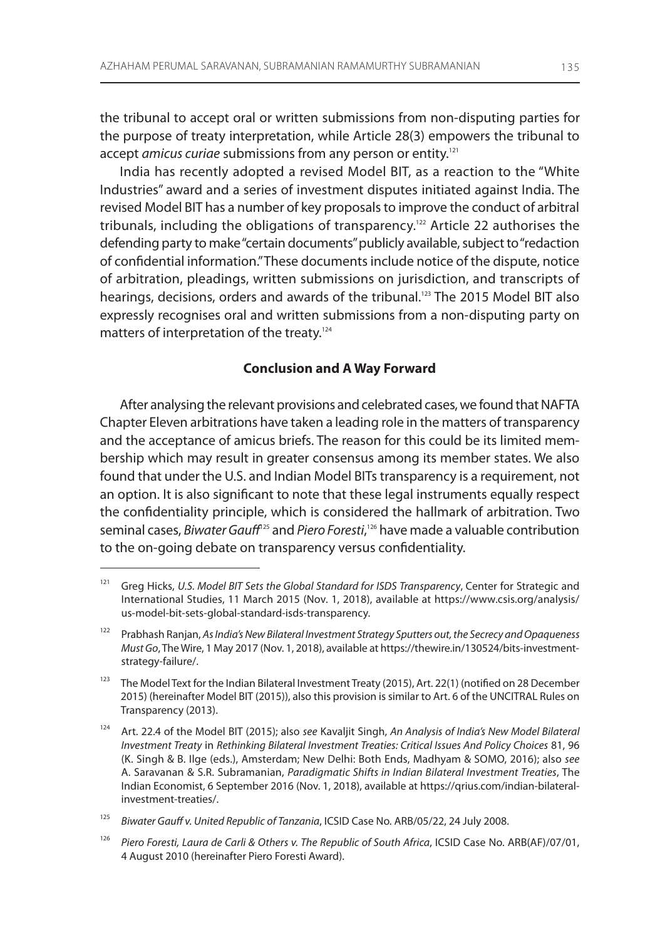the tribunal to accept oral or written submissions from non-disputing parties for the purpose of treaty interpretation, while article 28(3) empowers the tribunal to accept amicus curiae submissions from any person or entity.<sup>121</sup>

india has recently adopted a revised model BiT, as a reaction to the "White industries" award and a series of investment disputes initiated against india. The revised model BiT has a number of key proposals to improve the conduct of arbitral tribunals, including the obligations of transparency.<sup>122</sup> Article 22 authorises the defending party to make "certain documents" publicly available, subject to "redaction of confidential information." These documents include notice of the dispute, notice of arbitration, pleadings, written submissions on jurisdiction, and transcripts of hearings, decisions, orders and awards of the tribunal.<sup>123</sup> The 2015 Model BIT also expressly recognises oral and written submissions from a non-disputing party on matters of interpretation of the treaty.<sup>124</sup>

## **Conclusion and A Way Forward**

After analysing the relevant provisions and celebrated cases, we found that NAFTA Chapter eleven arbitrations have taken a leading role in the matters of transparency and the acceptance of amicus briefs. The reason for this could be its limited membership which may result in greater consensus among its member states. We also found that under the U.S. and Indian Model BITs transparency is a requirement, not an option. it is also significant to note that these legal instruments equally respect the confidentiality principle, which is considered the hallmark of arbitration. Two seminal cases, *Biwater Gauff<sup>125</sup>* and *Piero Foresti*, <sup>126</sup> have made a valuable contribution to the on-going debate on transparency versus confidentiality.

<sup>&</sup>lt;sup>121</sup> Greg Hicks, U.S. Model BIT Sets the Global Standard for ISDS Transparency, Center for Strategic and International Studies, 11 March 2015 (Nov. 1, 2018), available at https://www.csis.org/analysis/ us-model-bit-sets-global-standard-isds-transparency.

<sup>&</sup>lt;sup>122</sup> Prabhash Ranjan, As India's New Bilateral Investment Strategy Sputters out, the Secrecy and Opaqueness Must Go, The Wire, 1 May 2017 (Nov. 1, 2018), available at https://thewire.in/130524/bits-investmentstrategy-failure/.

<sup>&</sup>lt;sup>123</sup> The Model Text for the Indian Bilateral Investment Treaty (2015), Art. 22(1) (notified on 28 December 2015) (hereinafter Model BIT (2015)), also this provision is similar to Art. 6 of the UNCITRAL Rules on Transparency (2013).

<sup>&</sup>lt;sup>124</sup> Art. 22.4 of the Model BIT (2015); also see Kavaljit Singh, An Analysis of India's New Model Bilateral Investment Treaty in Rethinking Bilateral Investment Treaties: Critical Issues And Policy Choices 81, 96 (K. Singh & B. Ilge (eds.), Amsterdam; New Delhi: Both Ends, Madhyam & SOMO, 2016); also see A. Saravanan & S.R. Subramanian, Paradigmatic Shifts in Indian Bilateral Investment Treaties, The Indian Economist, 6 September 2016 (Nov. 1, 2018), available at https://qrius.com/indian-bilateralinvestment-treaties/.

<sup>125</sup> Biwater Gauff v. United Republic of Tanzania, ICSID Case No. ARB/05/22, 24 July 2008.

<sup>126</sup> Piero Foresti, Laura de Carli & Others v. The Republic of South Africa, ICSID Case No. ARB(AF)/07/01, 4 August 2010 (hereinafter Piero Foresti Award).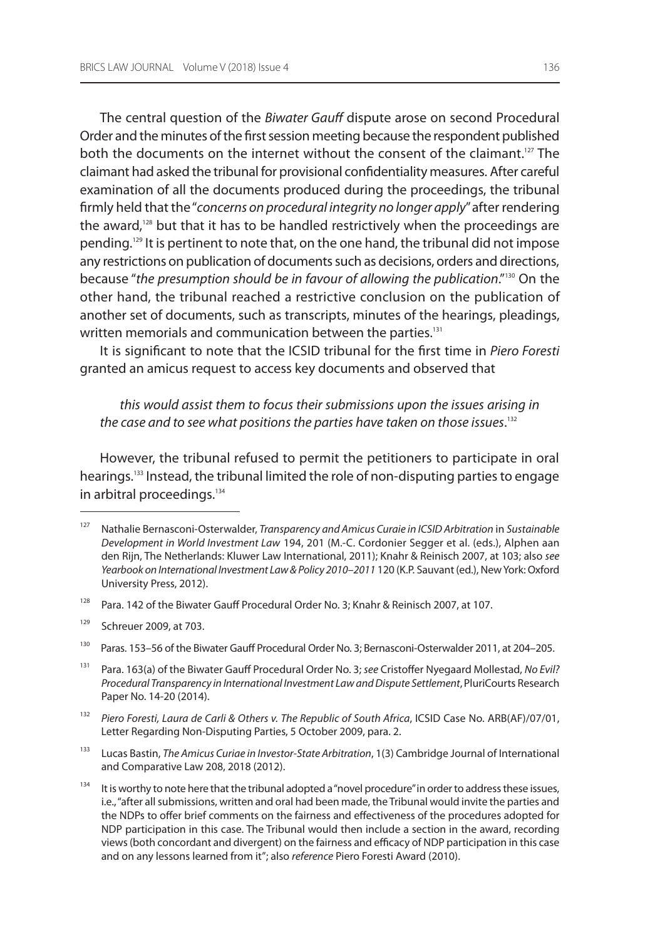The central question of the Biwater Gauff dispute arose on second Procedural order and the minutes of the first session meeting because the respondent published both the documents on the internet without the consent of the claimant.<sup>127</sup> The claimant had asked the tribunal for provisional confidentiality measures. after careful examination of all the documents produced during the proceedings, the tribunal firmly held that the "concerns on procedural integrity no longer apply" after rendering the award,<sup>128</sup> but that it has to be handled restrictively when the proceedings are pending.129 it is pertinent to note that, on the one hand, the tribunal did not impose any restrictions on publication of documents such as decisions, orders and directions, because "the presumption should be in favour of allowing the publication."<sup>130</sup> On the other hand, the tribunal reached a restrictive conclusion on the publication of another set of documents, such as transcripts, minutes of the hearings, pleadings, written memorials and communication between the parties.<sup>131</sup>

It is significant to note that the ICSID tribunal for the first time in Piero Foresti granted an amicus request to access key documents and observed that

this would assist them to focus their submissions upon the issues arising in the case and to see what positions the parties have taken on those issues. $^{\rm 132}$ 

however, the tribunal refused to permit the petitioners to participate in oral hearings.<sup>133</sup> Instead, the tribunal limited the role of non-disputing parties to engage in arbitral proceedings.<sup>134</sup>

<sup>&</sup>lt;sup>127</sup> Nathalie Bernasconi-Osterwalder, Transparency and Amicus Curaie in ICSID Arbitration in Sustainable Development in World Investment Law 194, 201 (M.-C. Cordonier Segger et al. (eds.), Alphen aan den Rijn, The Netherlands: Kluwer Law International, 2011); Knahr & Reinisch 2007, at 103; also see Yearbook on International Investment Law & Policy 2010-2011 120 (K.P. Sauvant (ed.), New York: Oxford University Press, 2012).

<sup>&</sup>lt;sup>128</sup> Para. 142 of the Biwater Gauff Procedural Order No. 3; Knahr & Reinisch 2007, at 107.

<sup>129</sup> schreuer 2009, at 703.

<sup>&</sup>lt;sup>130</sup> Paras. 153–56 of the Biwater Gauff Procedural Order No. 3; Bernasconi-Osterwalder 2011, at 204–205.

<sup>&</sup>lt;sup>131</sup> Para. 163(a) of the Biwater Gauff Procedural Order No. 3; see Cristoffer Nyegaard Mollestad, No Evil? Procedural Transparency in International Investment Law and Dispute Settlement, PluriCourts Research Paper No. 14-20 (2014).

<sup>132</sup> Piero Foresti, Laura de Carli & Others v. The Republic of South Africa, ICSID Case No. ARB(AF)/07/01, Letter Regarding Non-Disputing Parties, 5 October 2009, para. 2.

<sup>&</sup>lt;sup>133</sup> Lucas Bastin, The Amicus Curiae in Investor-State Arbitration, 1(3) Cambridge Journal of International and Comparative law 208, 2018 (2012).

<sup>&</sup>lt;sup>134</sup> It is worthy to note here that the tribunal adopted a "novel procedure" in order to address these issues, i.e., "after all submissions, written and oral had been made, the Tribunal would invite the parties and the nDPs to offer brief comments on the fairness and effectiveness of the procedures adopted for nDP participation in this case. The Tribunal would then include a section in the award, recording views (both concordant and divergent) on the fairness and efficacy of nDP participation in this case and on any lessons learned from it"; also reference Piero Foresti Award (2010).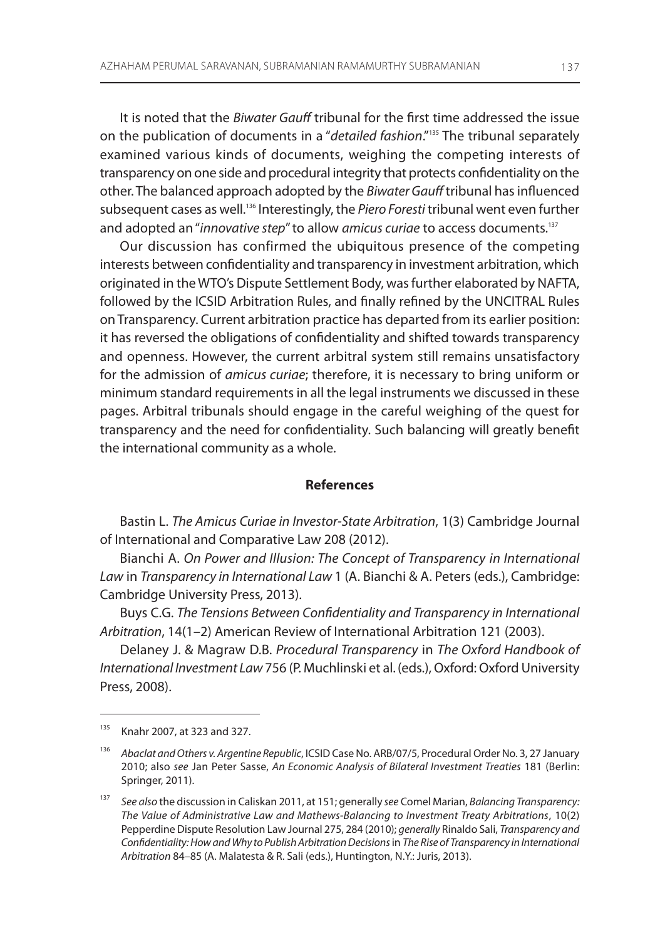It is noted that the *Biwater Gauff* tribunal for the first time addressed the issue on the publication of documents in a "detailed fashion."<sup>135</sup> The tribunal separately examined various kinds of documents, weighing the competing interests of transparency on one side and procedural integrity that protects confidentiality on the other. The balanced approach adopted by the Biwater Gauff tribunal has influenced subsequent cases as well.<sup>136</sup> Interestingly, the Piero Foresti tribunal went even further and adopted an "innovative step" to allow amicus curiae to access documents.<sup>137</sup>

Our discussion has confirmed the ubiquitous presence of the competing interests between confidentiality and transparency in investment arbitration, which originated in the WTO's Dispute Settlement Body, was further elaborated by NAFTA, followed by the ICSID Arbitration Rules, and finally refined by the UNCITRAL Rules on Transparency. Current arbitration practice has departed from its earlier position: it has reversed the obligations of confidentiality and shifted towards transparency and openness. however, the current arbitral system still remains unsatisfactory for the admission of amicus curiae; therefore, it is necessary to bring uniform or minimum standard requirements in all the legal instruments we discussed in these pages. arbitral tribunals should engage in the careful weighing of the quest for transparency and the need for confidentiality. such balancing will greatly benefit the international community as a whole.

### **References**

Bastin L. The Amicus Curiae in Investor-State Arbitration, 1(3) Cambridge Journal of international and Comparative law 208 (2012).

Bianchi A. On Power and Illusion: The Concept of Transparency in International Law in Transparency in International Law 1 (A. Bianchi & A. Peters (eds.), Cambridge: Cambridge University Press, 2013).

Buys C.g. The Tensions Between Confidentiality and Transparency in International Arbitration, 14(1-2) American Review of International Arbitration 121 (2003).

Delaney J. & magraw D.B. Procedural Transparency in The Oxford Handbook of International Investment Law 756 (P. Muchlinski et al. (eds.), Oxford: Oxford University Press, 2008).

<sup>135</sup> Knahr 2007, at 323 and 327.

<sup>136</sup> Abaclat and Others v. Argentine Republic, ICSID Case No. ARB/07/5, Procedural Order No. 3, 27 January 2010; also see Jan Peter sasse, An Economic Analysis of Bilateral Investment Treaties 181 (Berlin: springer, 2011).

<sup>137</sup> See also the discussion in Caliskan 2011, at 151; generally see Comel Marian, Balancing Transparency: The Value of Administrative Law and Mathews-Balancing to Investment Treaty Arbitrations, 10(2) Pepperdine Dispute Resolution Law Journal 275, 284 (2010); generally Rinaldo Sali, Transparency and Confidentiality: How and Why to Publish Arbitration Decisions in The Rise of Transparency in International Arbitration 84–85 (A. Malatesta & R. Sali (eds.), Huntington, N.Y.: Juris, 2013).